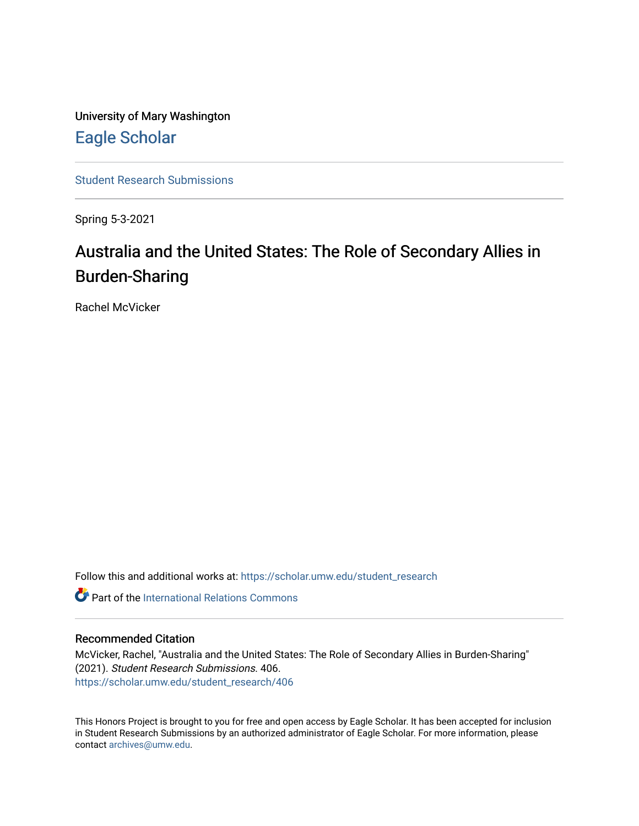University of Mary Washington [Eagle Scholar](https://scholar.umw.edu/) 

[Student Research Submissions](https://scholar.umw.edu/student_research) 

Spring 5-3-2021

# Australia and the United States: The Role of Secondary Allies in Burden-Sharing

Rachel McVicker

Follow this and additional works at: [https://scholar.umw.edu/student\\_research](https://scholar.umw.edu/student_research?utm_source=scholar.umw.edu%2Fstudent_research%2F406&utm_medium=PDF&utm_campaign=PDFCoverPages)

**Part of the International Relations Commons** 

# Recommended Citation

McVicker, Rachel, "Australia and the United States: The Role of Secondary Allies in Burden-Sharing" (2021). Student Research Submissions. 406. [https://scholar.umw.edu/student\\_research/406](https://scholar.umw.edu/student_research/406?utm_source=scholar.umw.edu%2Fstudent_research%2F406&utm_medium=PDF&utm_campaign=PDFCoverPages)

This Honors Project is brought to you for free and open access by Eagle Scholar. It has been accepted for inclusion in Student Research Submissions by an authorized administrator of Eagle Scholar. For more information, please contact [archives@umw.edu](mailto:archives@umw.edu).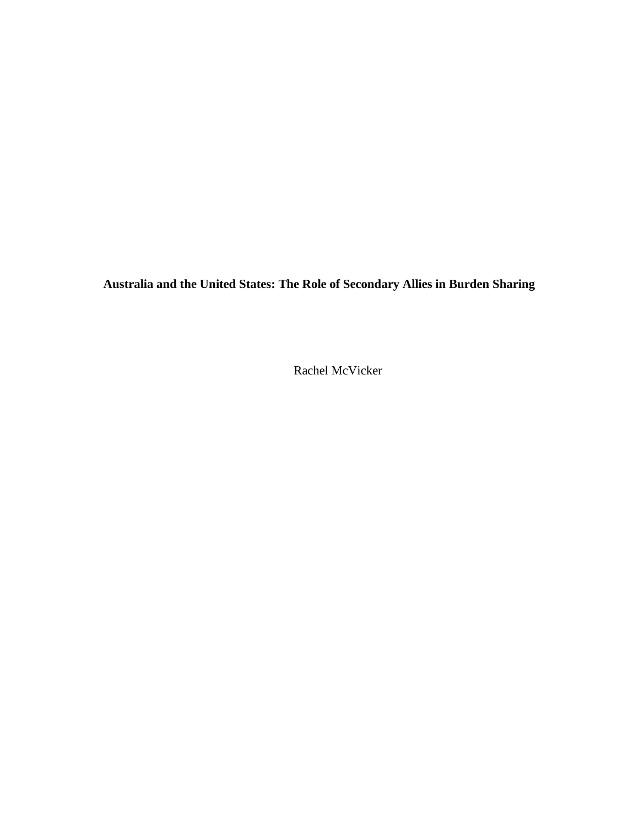**Australia and the United States: The Role of Secondary Allies in Burden Sharing**

Rachel McVicker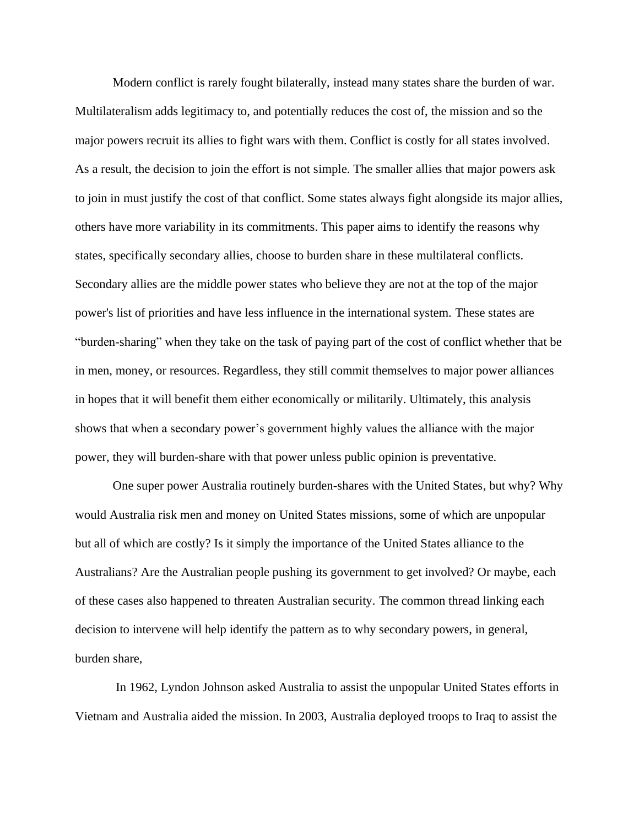Modern conflict is rarely fought bilaterally, instead many states share the burden of war. Multilateralism adds legitimacy to, and potentially reduces the cost of, the mission and so the major powers recruit its allies to fight wars with them. Conflict is costly for all states involved. As a result, the decision to join the effort is not simple. The smaller allies that major powers ask to join in must justify the cost of that conflict. Some states always fight alongside its major allies, others have more variability in its commitments. This paper aims to identify the reasons why states, specifically secondary allies, choose to burden share in these multilateral conflicts. Secondary allies are the middle power states who believe they are not at the top of the major power's list of priorities and have less influence in the international system. These states are "burden-sharing" when they take on the task of paying part of the cost of conflict whether that be in men, money, or resources. Regardless, they still commit themselves to major power alliances in hopes that it will benefit them either economically or militarily. Ultimately, this analysis shows that when a secondary power's government highly values the alliance with the major power, they will burden-share with that power unless public opinion is preventative.

One super power Australia routinely burden-shares with the United States, but why? Why would Australia risk men and money on United States missions, some of which are unpopular but all of which are costly? Is it simply the importance of the United States alliance to the Australians? Are the Australian people pushing its government to get involved? Or maybe, each of these cases also happened to threaten Australian security. The common thread linking each decision to intervene will help identify the pattern as to why secondary powers, in general, burden share,

In 1962, Lyndon Johnson asked Australia to assist the unpopular United States efforts in Vietnam and Australia aided the mission. In 2003, Australia deployed troops to Iraq to assist the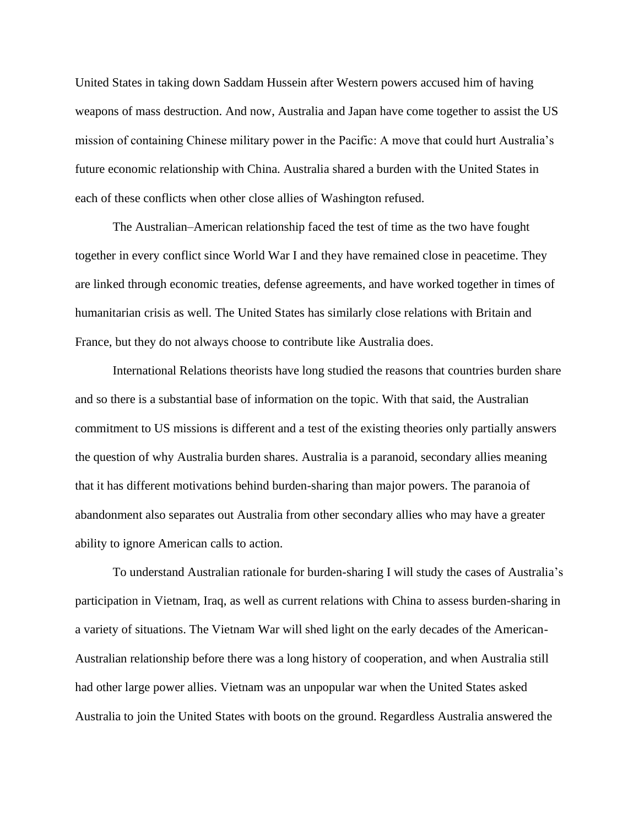United States in taking down Saddam Hussein after Western powers accused him of having weapons of mass destruction. And now, Australia and Japan have come together to assist the US mission of containing Chinese military power in the Pacific: A move that could hurt Australia's future economic relationship with China. Australia shared a burden with the United States in each of these conflicts when other close allies of Washington refused.

The Australian–American relationship faced the test of time as the two have fought together in every conflict since World War I and they have remained close in peacetime. They are linked through economic treaties, defense agreements, and have worked together in times of humanitarian crisis as well. The United States has similarly close relations with Britain and France, but they do not always choose to contribute like Australia does.

International Relations theorists have long studied the reasons that countries burden share and so there is a substantial base of information on the topic. With that said, the Australian commitment to US missions is different and a test of the existing theories only partially answers the question of why Australia burden shares. Australia is a paranoid, secondary allies meaning that it has different motivations behind burden-sharing than major powers. The paranoia of abandonment also separates out Australia from other secondary allies who may have a greater ability to ignore American calls to action.

To understand Australian rationale for burden-sharing I will study the cases of Australia's participation in Vietnam, Iraq, as well as current relations with China to assess burden-sharing in a variety of situations. The Vietnam War will shed light on the early decades of the American-Australian relationship before there was a long history of cooperation, and when Australia still had other large power allies. Vietnam was an unpopular war when the United States asked Australia to join the United States with boots on the ground. Regardless Australia answered the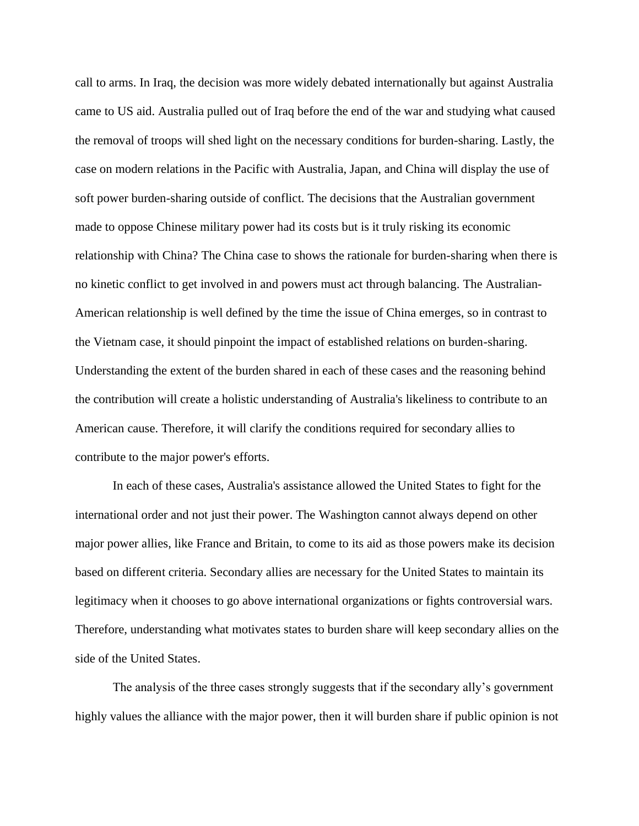call to arms. In Iraq, the decision was more widely debated internationally but against Australia came to US aid. Australia pulled out of Iraq before the end of the war and studying what caused the removal of troops will shed light on the necessary conditions for burden-sharing. Lastly, the case on modern relations in the Pacific with Australia, Japan, and China will display the use of soft power burden-sharing outside of conflict. The decisions that the Australian government made to oppose Chinese military power had its costs but is it truly risking its economic relationship with China? The China case to shows the rationale for burden-sharing when there is no kinetic conflict to get involved in and powers must act through balancing. The Australian-American relationship is well defined by the time the issue of China emerges, so in contrast to the Vietnam case, it should pinpoint the impact of established relations on burden-sharing. Understanding the extent of the burden shared in each of these cases and the reasoning behind the contribution will create a holistic understanding of Australia's likeliness to contribute to an American cause. Therefore, it will clarify the conditions required for secondary allies to contribute to the major power's efforts.

In each of these cases, Australia's assistance allowed the United States to fight for the international order and not just their power. The Washington cannot always depend on other major power allies, like France and Britain, to come to its aid as those powers make its decision based on different criteria. Secondary allies are necessary for the United States to maintain its legitimacy when it chooses to go above international organizations or fights controversial wars. Therefore, understanding what motivates states to burden share will keep secondary allies on the side of the United States.

The analysis of the three cases strongly suggests that if the secondary ally's government highly values the alliance with the major power, then it will burden share if public opinion is not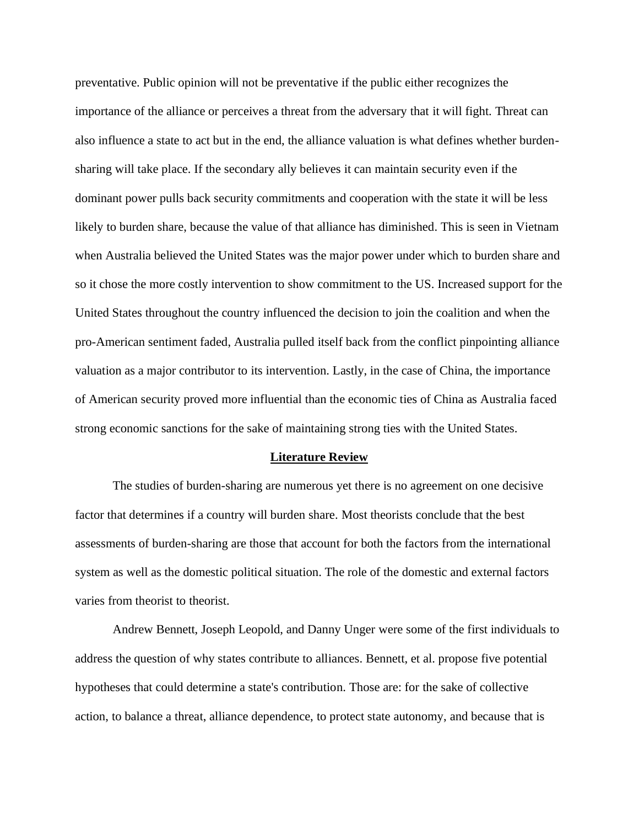preventative. Public opinion will not be preventative if the public either recognizes the importance of the alliance or perceives a threat from the adversary that it will fight. Threat can also influence a state to act but in the end, the alliance valuation is what defines whether burdensharing will take place. If the secondary ally believes it can maintain security even if the dominant power pulls back security commitments and cooperation with the state it will be less likely to burden share, because the value of that alliance has diminished. This is seen in Vietnam when Australia believed the United States was the major power under which to burden share and so it chose the more costly intervention to show commitment to the US. Increased support for the United States throughout the country influenced the decision to join the coalition and when the pro-American sentiment faded, Australia pulled itself back from the conflict pinpointing alliance valuation as a major contributor to its intervention. Lastly, in the case of China, the importance of American security proved more influential than the economic ties of China as Australia faced strong economic sanctions for the sake of maintaining strong ties with the United States.

#### **Literature Review**

The studies of burden-sharing are numerous yet there is no agreement on one decisive factor that determines if a country will burden share. Most theorists conclude that the best assessments of burden-sharing are those that account for both the factors from the international system as well as the domestic political situation. The role of the domestic and external factors varies from theorist to theorist.

Andrew Bennett, Joseph Leopold, and Danny Unger were some of the first individuals to address the question of why states contribute to alliances. Bennett, et al. propose five potential hypotheses that could determine a state's contribution. Those are: for the sake of collective action, to balance a threat, alliance dependence, to protect state autonomy, and because that is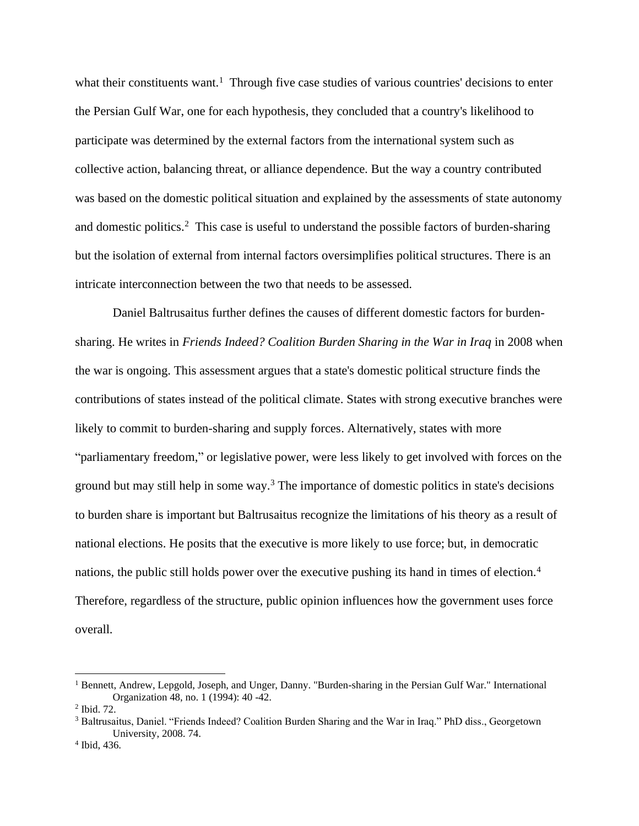what their constituents want.<sup>1</sup> Through five case studies of various countries' decisions to enter the Persian Gulf War, one for each hypothesis, they concluded that a country's likelihood to participate was determined by the external factors from the international system such as collective action, balancing threat, or alliance dependence. But the way a country contributed was based on the domestic political situation and explained by the assessments of state autonomy and domestic politics.<sup>2</sup> This case is useful to understand the possible factors of burden-sharing but the isolation of external from internal factors oversimplifies political structures. There is an intricate interconnection between the two that needs to be assessed.

Daniel Baltrusaitus further defines the causes of different domestic factors for burdensharing. He writes in *Friends Indeed? Coalition Burden Sharing in the War in Iraq* in 2008 when the war is ongoing. This assessment argues that a state's domestic political structure finds the contributions of states instead of the political climate. States with strong executive branches were likely to commit to burden-sharing and supply forces. Alternatively, states with more "parliamentary freedom," or legislative power, were less likely to get involved with forces on the ground but may still help in some way.<sup>3</sup> The importance of domestic politics in state's decisions to burden share is important but Baltrusaitus recognize the limitations of his theory as a result of national elections. He posits that the executive is more likely to use force; but, in democratic nations, the public still holds power over the executive pushing its hand in times of election.<sup>4</sup> Therefore, regardless of the structure, public opinion influences how the government uses force overall.

<sup>1</sup> Bennett, Andrew, Lepgold, Joseph, and Unger, Danny. "Burden-sharing in the Persian Gulf War." International Organization 48, no. 1 (1994): 40 -42.

<sup>2</sup> Ibid. 72.

<sup>&</sup>lt;sup>3</sup> Baltrusaitus, Daniel. "Friends Indeed? Coalition Burden Sharing and the War in Iraq." PhD diss., Georgetown University, 2008. 74.

<sup>4</sup> Ibid, 436.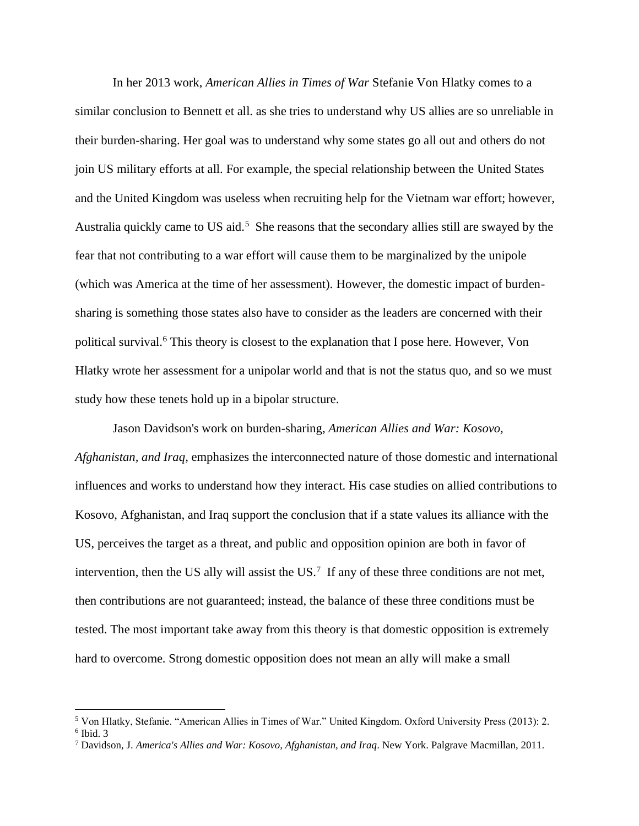In her 2013 work, *American Allies in Times of War* Stefanie Von Hlatky comes to a similar conclusion to Bennett et all. as she tries to understand why US allies are so unreliable in their burden-sharing. Her goal was to understand why some states go all out and others do not join US military efforts at all. For example, the special relationship between the United States and the United Kingdom was useless when recruiting help for the Vietnam war effort; however, Australia quickly came to US aid.<sup>5</sup> She reasons that the secondary allies still are swayed by the fear that not contributing to a war effort will cause them to be marginalized by the unipole (which was America at the time of her assessment). However, the domestic impact of burdensharing is something those states also have to consider as the leaders are concerned with their political survival.<sup>6</sup> This theory is closest to the explanation that I pose here. However, Von Hlatky wrote her assessment for a unipolar world and that is not the status quo, and so we must study how these tenets hold up in a bipolar structure.

Jason Davidson's work on burden-sharing, *American Allies and War: Kosovo, Afghanistan, and Iraq*, emphasizes the interconnected nature of those domestic and international influences and works to understand how they interact. His case studies on allied contributions to Kosovo, Afghanistan, and Iraq support the conclusion that if a state values its alliance with the US, perceives the target as a threat, and public and opposition opinion are both in favor of intervention, then the US ally will assist the US.<sup>7</sup> If any of these three conditions are not met, then contributions are not guaranteed; instead, the balance of these three conditions must be tested. The most important take away from this theory is that domestic opposition is extremely hard to overcome. Strong domestic opposition does not mean an ally will make a small

<sup>5</sup> Von Hlatky, Stefanie. "American Allies in Times of War." United Kingdom. Oxford University Press (2013): 2. 6 Ibid. 3

<sup>7</sup> Davidson, J. *America's Allies and War: Kosovo, Afghanistan, and Iraq*. New York. Palgrave Macmillan, 2011.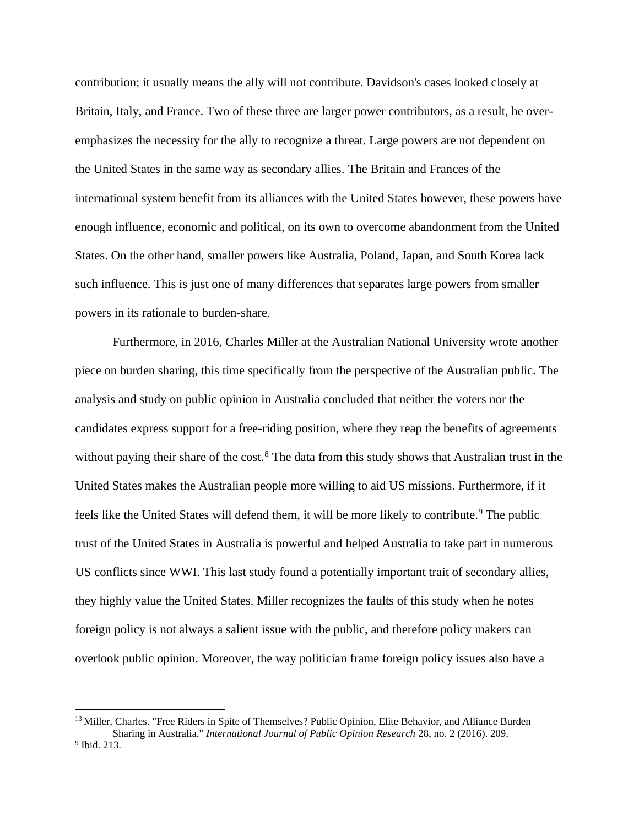contribution; it usually means the ally will not contribute. Davidson's cases looked closely at Britain, Italy, and France. Two of these three are larger power contributors, as a result, he overemphasizes the necessity for the ally to recognize a threat. Large powers are not dependent on the United States in the same way as secondary allies. The Britain and Frances of the international system benefit from its alliances with the United States however, these powers have enough influence, economic and political, on its own to overcome abandonment from the United States. On the other hand, smaller powers like Australia, Poland, Japan, and South Korea lack such influence. This is just one of many differences that separates large powers from smaller powers in its rationale to burden-share.

Furthermore, in 2016, Charles Miller at the Australian National University wrote another piece on burden sharing, this time specifically from the perspective of the Australian public. The analysis and study on public opinion in Australia concluded that neither the voters nor the candidates express support for a free-riding position, where they reap the benefits of agreements without paying their share of the cost.<sup>8</sup> The data from this study shows that Australian trust in the United States makes the Australian people more willing to aid US missions. Furthermore, if it feels like the United States will defend them, it will be more likely to contribute.<sup>9</sup> The public trust of the United States in Australia is powerful and helped Australia to take part in numerous US conflicts since WWI. This last study found a potentially important trait of secondary allies, they highly value the United States. Miller recognizes the faults of this study when he notes foreign policy is not always a salient issue with the public, and therefore policy makers can overlook public opinion. Moreover, the way politician frame foreign policy issues also have a

<sup>&</sup>lt;sup>13</sup> Miller, Charles. "Free Riders in Spite of Themselves? Public Opinion, Elite Behavior, and Alliance Burden Sharing in Australia." *International Journal of Public Opinion Research* 28, no. 2 (2016). 209. 9 Ibid. 213.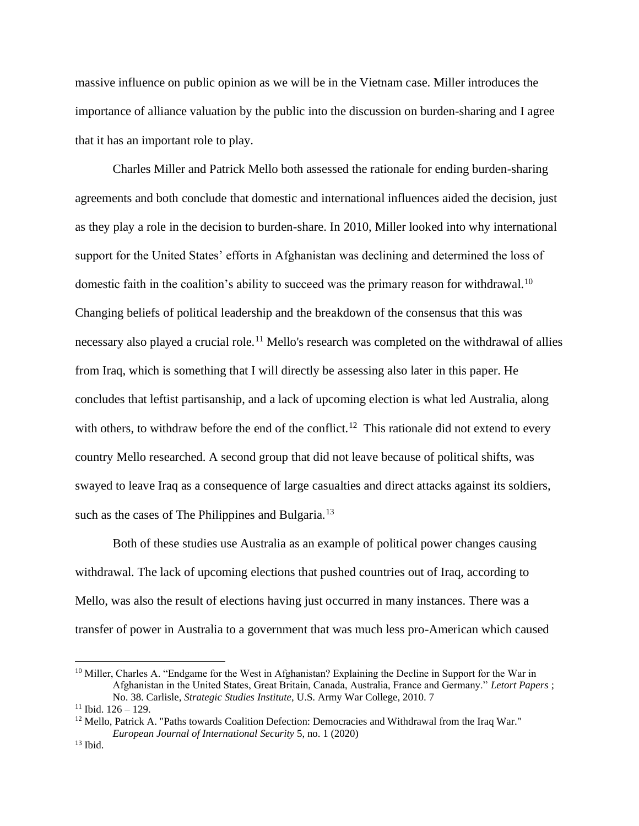massive influence on public opinion as we will be in the Vietnam case. Miller introduces the importance of alliance valuation by the public into the discussion on burden-sharing and I agree that it has an important role to play.

Charles Miller and Patrick Mello both assessed the rationale for ending burden-sharing agreements and both conclude that domestic and international influences aided the decision, just as they play a role in the decision to burden-share. In 2010, Miller looked into why international support for the United States' efforts in Afghanistan was declining and determined the loss of domestic faith in the coalition's ability to succeed was the primary reason for withdrawal.<sup>10</sup> Changing beliefs of political leadership and the breakdown of the consensus that this was necessary also played a crucial role.<sup>11</sup> Mello's research was completed on the withdrawal of allies from Iraq, which is something that I will directly be assessing also later in this paper. He concludes that leftist partisanship, and a lack of upcoming election is what led Australia, along with others, to withdraw before the end of the conflict.<sup>12</sup> This rationale did not extend to every country Mello researched. A second group that did not leave because of political shifts, was swayed to leave Iraq as a consequence of large casualties and direct attacks against its soldiers, such as the cases of The Philippines and Bulgaria.<sup>13</sup>

Both of these studies use Australia as an example of political power changes causing withdrawal. The lack of upcoming elections that pushed countries out of Iraq, according to Mello, was also the result of elections having just occurred in many instances. There was a transfer of power in Australia to a government that was much less pro-American which caused

<sup>&</sup>lt;sup>10</sup> Miller, Charles A. "Endgame for the West in Afghanistan? Explaining the Decline in Support for the War in Afghanistan in the United States, Great Britain, Canada, Australia, France and Germany." *Letort Papers* ; No. 38. Carlisle, *Strategic Studies Institute*, U.S. Army War College, 2010. 7

 $11$  Ibid.  $126 - 129$ .

<sup>&</sup>lt;sup>12</sup> Mello, Patrick A. "Paths towards Coalition Defection: Democracies and Withdrawal from the Iraq War." *European Journal of International Security* 5, no. 1 (2020)

 $13$  Ibid.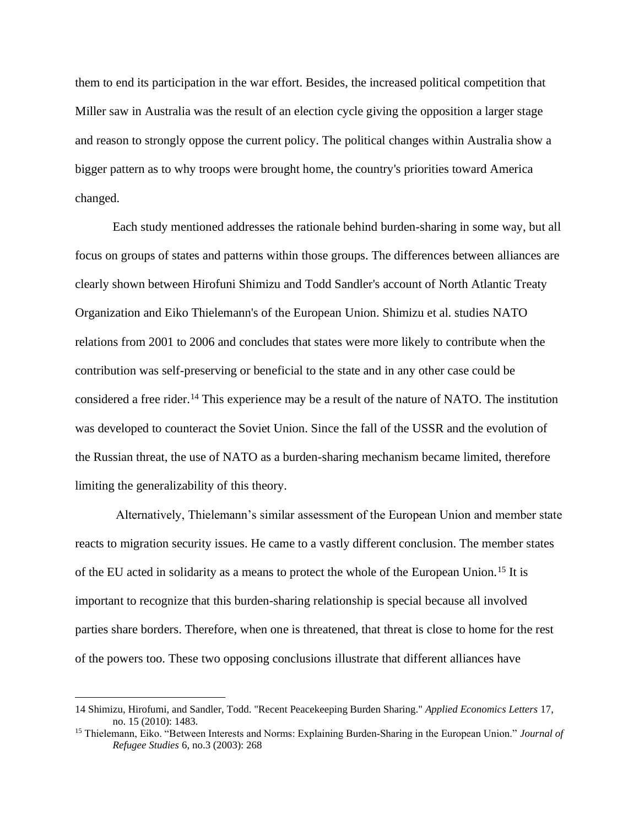them to end its participation in the war effort. Besides, the increased political competition that Miller saw in Australia was the result of an election cycle giving the opposition a larger stage and reason to strongly oppose the current policy. The political changes within Australia show a bigger pattern as to why troops were brought home, the country's priorities toward America changed.

Each study mentioned addresses the rationale behind burden-sharing in some way, but all focus on groups of states and patterns within those groups. The differences between alliances are clearly shown between Hirofuni Shimizu and Todd Sandler's account of North Atlantic Treaty Organization and Eiko Thielemann's of the European Union. Shimizu et al. studies NATO relations from 2001 to 2006 and concludes that states were more likely to contribute when the contribution was self-preserving or beneficial to the state and in any other case could be considered a free rider.<sup>14</sup> This experience may be a result of the nature of NATO. The institution was developed to counteract the Soviet Union. Since the fall of the USSR and the evolution of the Russian threat, the use of NATO as a burden-sharing mechanism became limited, therefore limiting the generalizability of this theory.

Alternatively, Thielemann's similar assessment of the European Union and member state reacts to migration security issues. He came to a vastly different conclusion. The member states of the EU acted in solidarity as a means to protect the whole of the European Union.<sup>15</sup> It is important to recognize that this burden-sharing relationship is special because all involved parties share borders. Therefore, when one is threatened, that threat is close to home for the rest of the powers too. These two opposing conclusions illustrate that different alliances have

<sup>14</sup> Shimizu, Hirofumi, and Sandler, Todd. "Recent Peacekeeping Burden Sharing." *Applied Economics Letters* 17, no. 15 (2010): 1483.

<sup>15</sup> Thielemann, Eiko. "Between Interests and Norms: Explaining Burden‐Sharing in the European Union." *Journal of Refugee Studies* 6, no.3 (2003): 268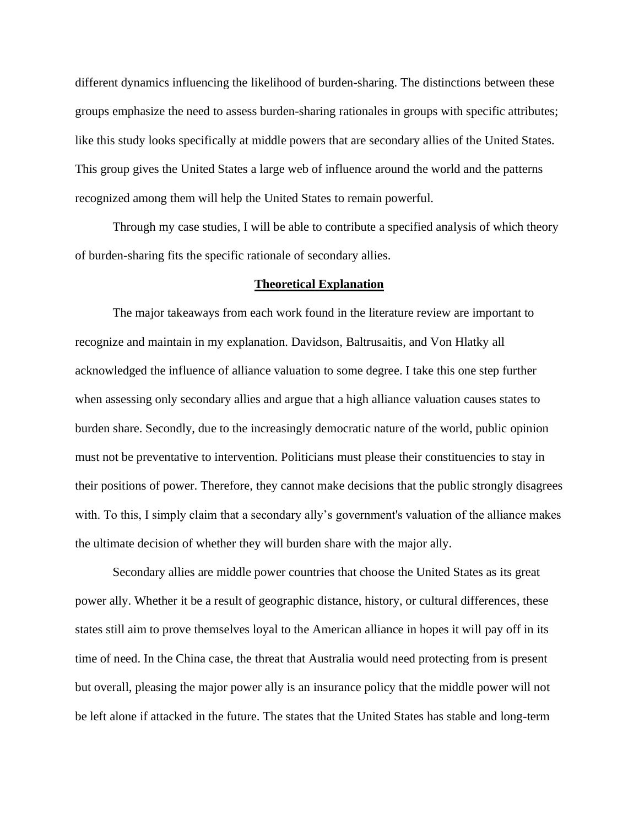different dynamics influencing the likelihood of burden-sharing. The distinctions between these groups emphasize the need to assess burden-sharing rationales in groups with specific attributes; like this study looks specifically at middle powers that are secondary allies of the United States. This group gives the United States a large web of influence around the world and the patterns recognized among them will help the United States to remain powerful.

Through my case studies, I will be able to contribute a specified analysis of which theory of burden-sharing fits the specific rationale of secondary allies.

### **Theoretical Explanation**

The major takeaways from each work found in the literature review are important to recognize and maintain in my explanation. Davidson, Baltrusaitis, and Von Hlatky all acknowledged the influence of alliance valuation to some degree. I take this one step further when assessing only secondary allies and argue that a high alliance valuation causes states to burden share. Secondly, due to the increasingly democratic nature of the world, public opinion must not be preventative to intervention. Politicians must please their constituencies to stay in their positions of power. Therefore, they cannot make decisions that the public strongly disagrees with. To this, I simply claim that a secondary ally's government's valuation of the alliance makes the ultimate decision of whether they will burden share with the major ally.

Secondary allies are middle power countries that choose the United States as its great power ally. Whether it be a result of geographic distance, history, or cultural differences, these states still aim to prove themselves loyal to the American alliance in hopes it will pay off in its time of need. In the China case, the threat that Australia would need protecting from is present but overall, pleasing the major power ally is an insurance policy that the middle power will not be left alone if attacked in the future. The states that the United States has stable and long-term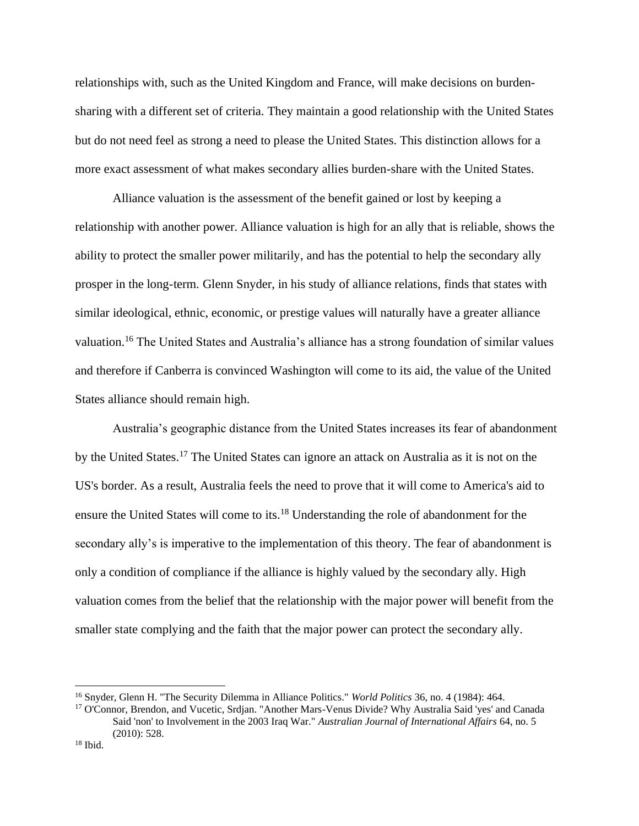relationships with, such as the United Kingdom and France, will make decisions on burdensharing with a different set of criteria. They maintain a good relationship with the United States but do not need feel as strong a need to please the United States. This distinction allows for a more exact assessment of what makes secondary allies burden-share with the United States.

Alliance valuation is the assessment of the benefit gained or lost by keeping a relationship with another power. Alliance valuation is high for an ally that is reliable, shows the ability to protect the smaller power militarily, and has the potential to help the secondary ally prosper in the long-term. Glenn Snyder, in his study of alliance relations, finds that states with similar ideological, ethnic, economic, or prestige values will naturally have a greater alliance valuation.<sup>16</sup> The United States and Australia's alliance has a strong foundation of similar values and therefore if Canberra is convinced Washington will come to its aid, the value of the United States alliance should remain high.

Australia's geographic distance from the United States increases its fear of abandonment by the United States.<sup>17</sup> The United States can ignore an attack on Australia as it is not on the US's border. As a result, Australia feels the need to prove that it will come to America's aid to ensure the United States will come to its.<sup>18</sup> Understanding the role of abandonment for the secondary ally's is imperative to the implementation of this theory. The fear of abandonment is only a condition of compliance if the alliance is highly valued by the secondary ally. High valuation comes from the belief that the relationship with the major power will benefit from the smaller state complying and the faith that the major power can protect the secondary ally.

<sup>16</sup> Snyder, Glenn H. "The Security Dilemma in Alliance Politics." *World Politics* 36, no. 4 (1984): 464.

<sup>&</sup>lt;sup>17</sup> O'Connor, Brendon, and Vucetic, Srdjan. "Another Mars-Venus Divide? Why Australia Said 'yes' and Canada Said 'non' to Involvement in the 2003 Iraq War." *Australian Journal of International Affairs* 64, no. 5 (2010): 528.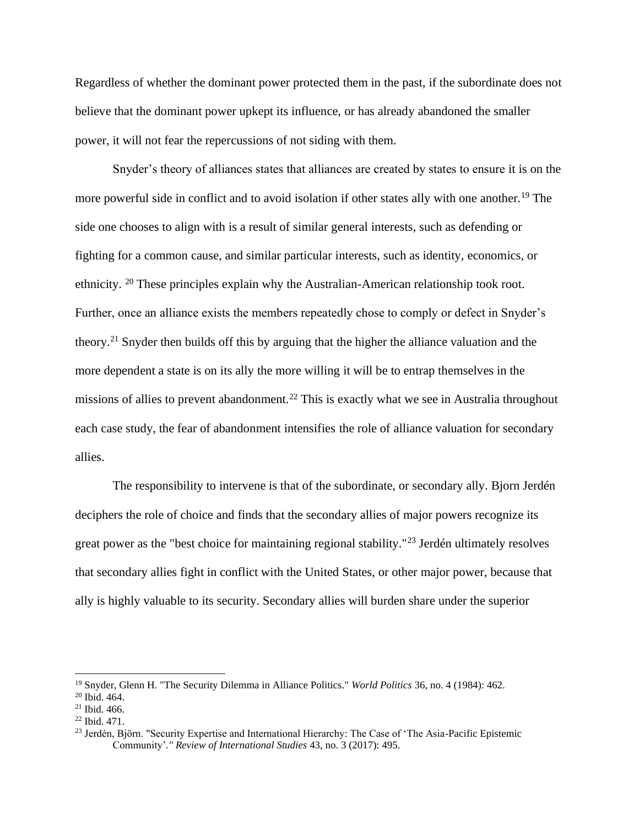Regardless of whether the dominant power protected them in the past, if the subordinate does not believe that the dominant power upkept its influence, or has already abandoned the smaller power, it will not fear the repercussions of not siding with them.

Snyder's theory of alliances states that alliances are created by states to ensure it is on the more powerful side in conflict and to avoid isolation if other states ally with one another.<sup>19</sup> The side one chooses to align with is a result of similar general interests, such as defending or fighting for a common cause, and similar particular interests, such as identity, economics, or ethnicity. <sup>20</sup> These principles explain why the Australian-American relationship took root. Further, once an alliance exists the members repeatedly chose to comply or defect in Snyder's theory.<sup>21</sup> Snyder then builds off this by arguing that the higher the alliance valuation and the more dependent a state is on its ally the more willing it will be to entrap themselves in the missions of allies to prevent abandonment.<sup>22</sup> This is exactly what we see in Australia throughout each case study, the fear of abandonment intensifies the role of alliance valuation for secondary allies.

The responsibility to intervene is that of the subordinate, or secondary ally. Bjorn Jerdén deciphers the role of choice and finds that the secondary allies of major powers recognize its great power as the "best choice for maintaining regional stability."<sup>23</sup> Jerdén ultimately resolves that secondary allies fight in conflict with the United States, or other major power, because that ally is highly valuable to its security. Secondary allies will burden share under the superior

<sup>19</sup> Snyder, Glenn H. "The Security Dilemma in Alliance Politics." *World Politics* 36, no. 4 (1984): 462.

<sup>20</sup> Ibid. 464.

 $21$  Ibid. 466.

<sup>22</sup> Ibid. 471.

<sup>&</sup>lt;sup>23</sup> Jerdén, Björn. "Security Expertise and International Hierarchy: The Case of 'The Asia-Pacific Epistemic Community'*." Review of International Studies* 43, no. 3 (2017): 495.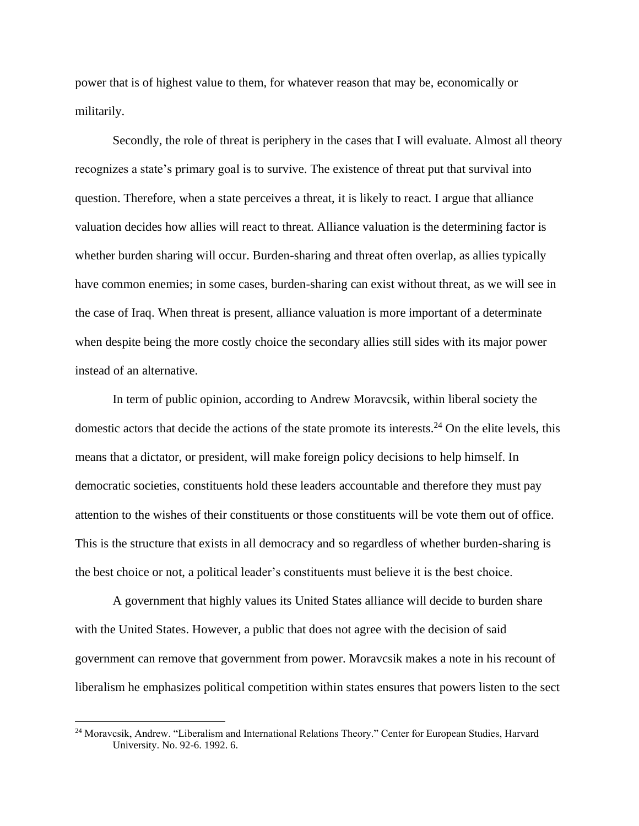power that is of highest value to them, for whatever reason that may be, economically or militarily.

Secondly, the role of threat is periphery in the cases that I will evaluate. Almost all theory recognizes a state's primary goal is to survive. The existence of threat put that survival into question. Therefore, when a state perceives a threat, it is likely to react. I argue that alliance valuation decides how allies will react to threat. Alliance valuation is the determining factor is whether burden sharing will occur. Burden-sharing and threat often overlap, as allies typically have common enemies; in some cases, burden-sharing can exist without threat, as we will see in the case of Iraq. When threat is present, alliance valuation is more important of a determinate when despite being the more costly choice the secondary allies still sides with its major power instead of an alternative.

In term of public opinion, according to Andrew Moravcsik, within liberal society the domestic actors that decide the actions of the state promote its interests.<sup>24</sup> On the elite levels, this means that a dictator, or president, will make foreign policy decisions to help himself. In democratic societies, constituents hold these leaders accountable and therefore they must pay attention to the wishes of their constituents or those constituents will be vote them out of office. This is the structure that exists in all democracy and so regardless of whether burden-sharing is the best choice or not, a political leader's constituents must believe it is the best choice.

A government that highly values its United States alliance will decide to burden share with the United States. However, a public that does not agree with the decision of said government can remove that government from power. Moravcsik makes a note in his recount of liberalism he emphasizes political competition within states ensures that powers listen to the sect

<sup>&</sup>lt;sup>24</sup> Moravcsik, Andrew. "Liberalism and International Relations Theory." Center for European Studies, Harvard University. No. 92-6. 1992. 6.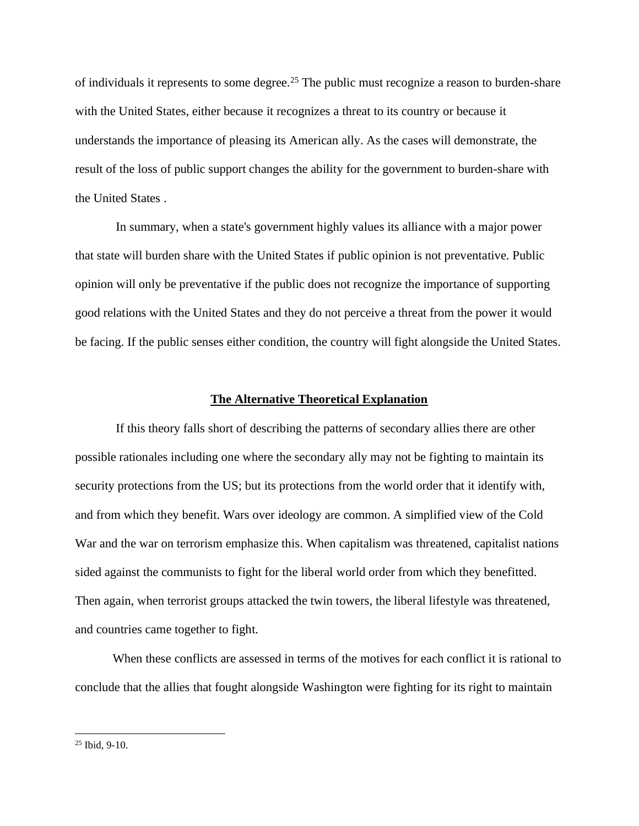of individuals it represents to some degree.<sup>25</sup> The public must recognize a reason to burden-share with the United States, either because it recognizes a threat to its country or because it understands the importance of pleasing its American ally. As the cases will demonstrate, the result of the loss of public support changes the ability for the government to burden-share with the United States .

In summary, when a state's government highly values its alliance with a major power that state will burden share with the United States if public opinion is not preventative. Public opinion will only be preventative if the public does not recognize the importance of supporting good relations with the United States and they do not perceive a threat from the power it would be facing. If the public senses either condition, the country will fight alongside the United States.

## **The Alternative Theoretical Explanation**

If this theory falls short of describing the patterns of secondary allies there are other possible rationales including one where the secondary ally may not be fighting to maintain its security protections from the US; but its protections from the world order that it identify with, and from which they benefit. Wars over ideology are common. A simplified view of the Cold War and the war on terrorism emphasize this. When capitalism was threatened, capitalist nations sided against the communists to fight for the liberal world order from which they benefitted. Then again, when terrorist groups attacked the twin towers, the liberal lifestyle was threatened, and countries came together to fight.

When these conflicts are assessed in terms of the motives for each conflict it is rational to conclude that the allies that fought alongside Washington were fighting for its right to maintain

 $25$  Ibid, 9-10.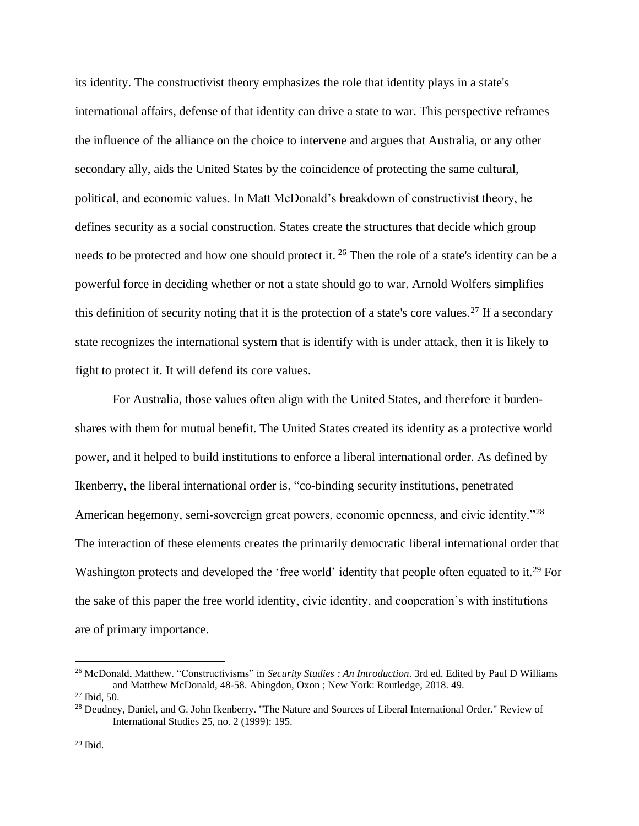its identity. The constructivist theory emphasizes the role that identity plays in a state's international affairs, defense of that identity can drive a state to war. This perspective reframes the influence of the alliance on the choice to intervene and argues that Australia, or any other secondary ally, aids the United States by the coincidence of protecting the same cultural, political, and economic values. In Matt McDonald's breakdown of constructivist theory, he defines security as a social construction. States create the structures that decide which group needs to be protected and how one should protect it. <sup>26</sup> Then the role of a state's identity can be a powerful force in deciding whether or not a state should go to war. Arnold Wolfers simplifies this definition of security noting that it is the protection of a state's core values.<sup>27</sup> If a secondary state recognizes the international system that is identify with is under attack, then it is likely to fight to protect it. It will defend its core values.

For Australia, those values often align with the United States, and therefore it burdenshares with them for mutual benefit. The United States created its identity as a protective world power, and it helped to build institutions to enforce a liberal international order. As defined by Ikenberry, the liberal international order is, "co-binding security institutions, penetrated American hegemony, semi-sovereign great powers, economic openness, and civic identity."<sup>28</sup> The interaction of these elements creates the primarily democratic liberal international order that Washington protects and developed the 'free world' identity that people often equated to it.<sup>29</sup> For the sake of this paper the free world identity, civic identity, and cooperation's with institutions are of primary importance.

<sup>26</sup> McDonald, Matthew. "Constructivisms" in *Security Studies : An Introduction*. 3rd ed. Edited by Paul D Williams and Matthew McDonald, 48-58. Abingdon, Oxon ; New York: Routledge, 2018. 49.

<sup>27</sup> Ibid, 50.

<sup>&</sup>lt;sup>28</sup> Deudney, Daniel, and G. John Ikenberry. "The Nature and Sources of Liberal International Order." Review of International Studies 25, no. 2 (1999): 195.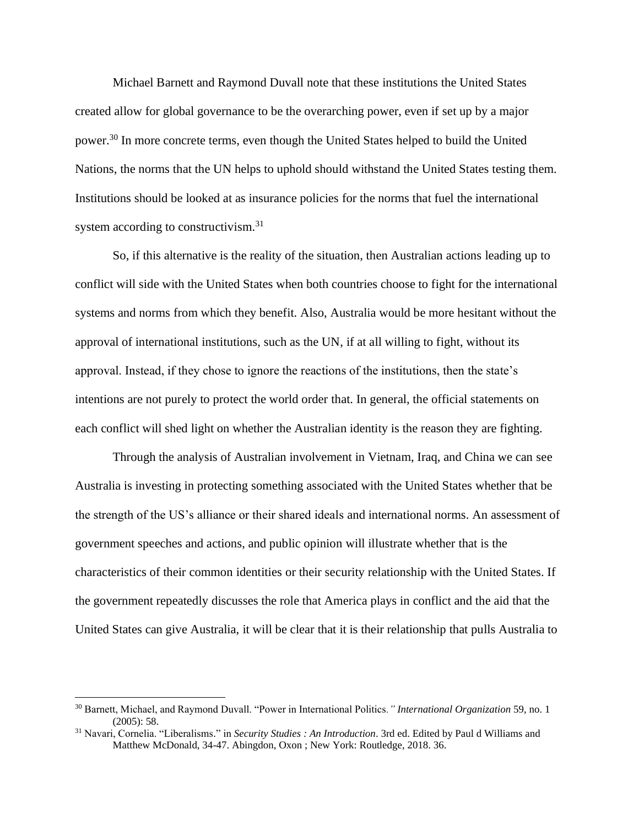Michael Barnett and Raymond Duvall note that these institutions the United States created allow for global governance to be the overarching power, even if set up by a major power.<sup>30</sup> In more concrete terms, even though the United States helped to build the United Nations, the norms that the UN helps to uphold should withstand the United States testing them. Institutions should be looked at as insurance policies for the norms that fuel the international system according to constructivism.<sup>31</sup>

So, if this alternative is the reality of the situation, then Australian actions leading up to conflict will side with the United States when both countries choose to fight for the international systems and norms from which they benefit. Also, Australia would be more hesitant without the approval of international institutions, such as the UN, if at all willing to fight, without its approval. Instead, if they chose to ignore the reactions of the institutions, then the state's intentions are not purely to protect the world order that. In general, the official statements on each conflict will shed light on whether the Australian identity is the reason they are fighting.

Through the analysis of Australian involvement in Vietnam, Iraq, and China we can see Australia is investing in protecting something associated with the United States whether that be the strength of the US's alliance or their shared ideals and international norms. An assessment of government speeches and actions, and public opinion will illustrate whether that is the characteristics of their common identities or their security relationship with the United States. If the government repeatedly discusses the role that America plays in conflict and the aid that the United States can give Australia, it will be clear that it is their relationship that pulls Australia to

<sup>30</sup> Barnett, Michael, and Raymond Duvall. "Power in International Politics*." International Organization* 59, no. 1 (2005): 58.

<sup>31</sup> Navari, Cornelia. "Liberalisms." in *Security Studies : An Introduction*. 3rd ed. Edited by Paul d Williams and Matthew McDonald, 34-47. Abingdon, Oxon ; New York: Routledge, 2018. 36.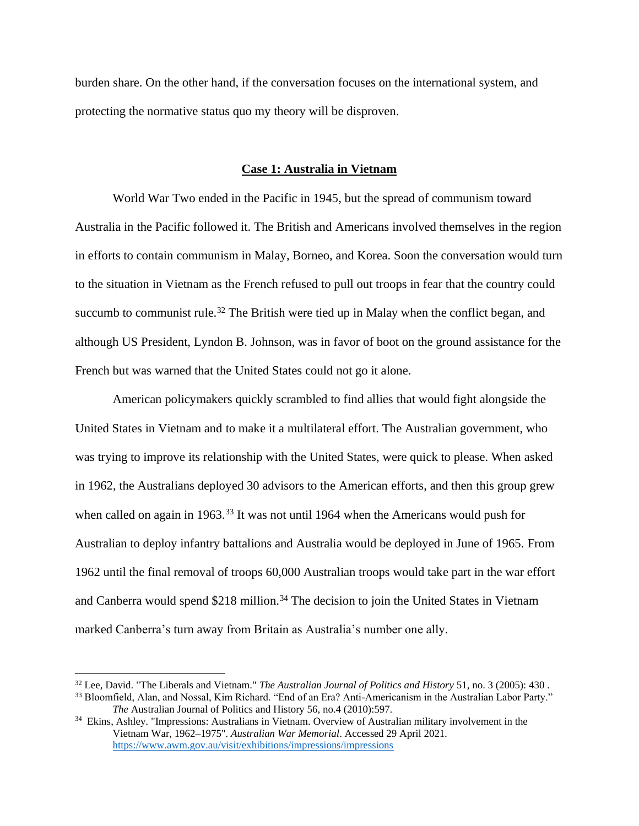burden share. On the other hand, if the conversation focuses on the international system, and protecting the normative status quo my theory will be disproven.

# **Case 1: Australia in Vietnam**

World War Two ended in the Pacific in 1945, but the spread of communism toward Australia in the Pacific followed it. The British and Americans involved themselves in the region in efforts to contain communism in Malay, Borneo, and Korea. Soon the conversation would turn to the situation in Vietnam as the French refused to pull out troops in fear that the country could succumb to communist rule.<sup>32</sup> The British were tied up in Malay when the conflict began, and although US President, Lyndon B. Johnson, was in favor of boot on the ground assistance for the French but was warned that the United States could not go it alone.

American policymakers quickly scrambled to find allies that would fight alongside the United States in Vietnam and to make it a multilateral effort. The Australian government, who was trying to improve its relationship with the United States, were quick to please. When asked in 1962, the Australians deployed 30 advisors to the American efforts, and then this group grew when called on again in 1963.<sup>33</sup> It was not until 1964 when the Americans would push for Australian to deploy infantry battalions and Australia would be deployed in June of 1965. From 1962 until the final removal of troops 60,000 Australian troops would take part in the war effort and Canberra would spend \$218 million.<sup>34</sup> The decision to join the United States in Vietnam marked Canberra's turn away from Britain as Australia's number one ally.

<sup>32</sup> Lee, David. "The Liberals and Vietnam." *The Australian Journal of Politics and History* 51, no. 3 (2005): 430 . <sup>33</sup> Bloomfield, Alan, and Nossal, Kim Richard. "End of an Era? Anti-Americanism in the Australian Labor Party." *The* Australian Journal of Politics and History 56, no.4 (2010):597.

<sup>34</sup> Ekins, Ashley*.* ["Impressions: Australians in Vietnam. Overview of Australian military involvement in the](https://www.awm.gov.au/exhibitions/impressions/impressions.asp)  [Vietnam War, 1962–1975"](https://www.awm.gov.au/exhibitions/impressions/impressions.asp)*. Australian War Memorial*. Accessed 29 April 2021*.*  <https://www.awm.gov.au/visit/exhibitions/impressions/impressions>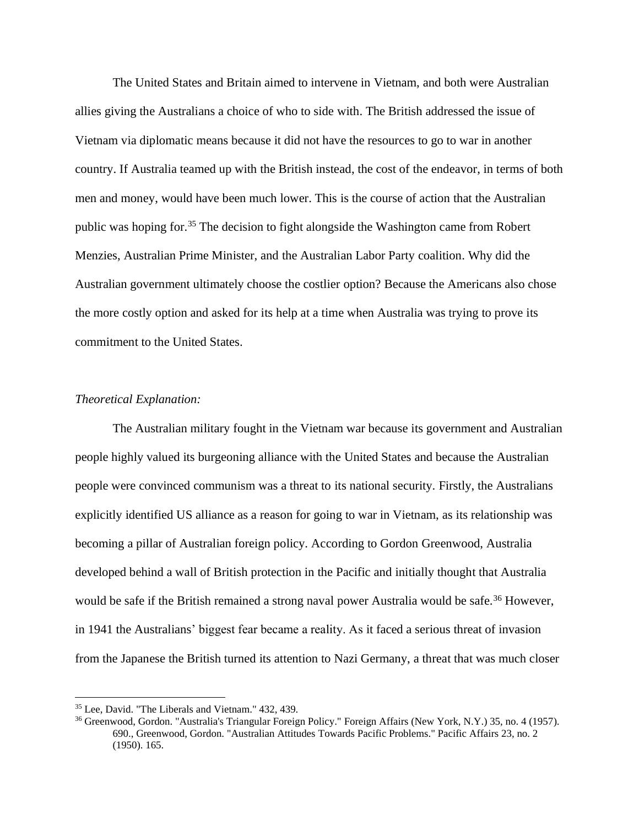The United States and Britain aimed to intervene in Vietnam, and both were Australian allies giving the Australians a choice of who to side with. The British addressed the issue of Vietnam via diplomatic means because it did not have the resources to go to war in another country. If Australia teamed up with the British instead, the cost of the endeavor, in terms of both men and money, would have been much lower. This is the course of action that the Australian public was hoping for.<sup>35</sup> The decision to fight alongside the Washington came from Robert Menzies, Australian Prime Minister, and the Australian Labor Party coalition. Why did the Australian government ultimately choose the costlier option? Because the Americans also chose the more costly option and asked for its help at a time when Australia was trying to prove its commitment to the United States.

## *Theoretical Explanation:*

The Australian military fought in the Vietnam war because its government and Australian people highly valued its burgeoning alliance with the United States and because the Australian people were convinced communism was a threat to its national security. Firstly, the Australians explicitly identified US alliance as a reason for going to war in Vietnam, as its relationship was becoming a pillar of Australian foreign policy. According to Gordon Greenwood, Australia developed behind a wall of British protection in the Pacific and initially thought that Australia would be safe if the British remained a strong naval power Australia would be safe.<sup>36</sup> However, in 1941 the Australians' biggest fear became a reality. As it faced a serious threat of invasion from the Japanese the British turned its attention to Nazi Germany, a threat that was much closer

<sup>35</sup> Lee, David. "The Liberals and Vietnam." 432, 439.

<sup>36</sup> Greenwood, Gordon. "Australia's Triangular Foreign Policy." Foreign Affairs (New York, N.Y.) 35, no. 4 (1957). 690., Greenwood, Gordon. "Australian Attitudes Towards Pacific Problems." Pacific Affairs 23, no. 2 (1950). 165.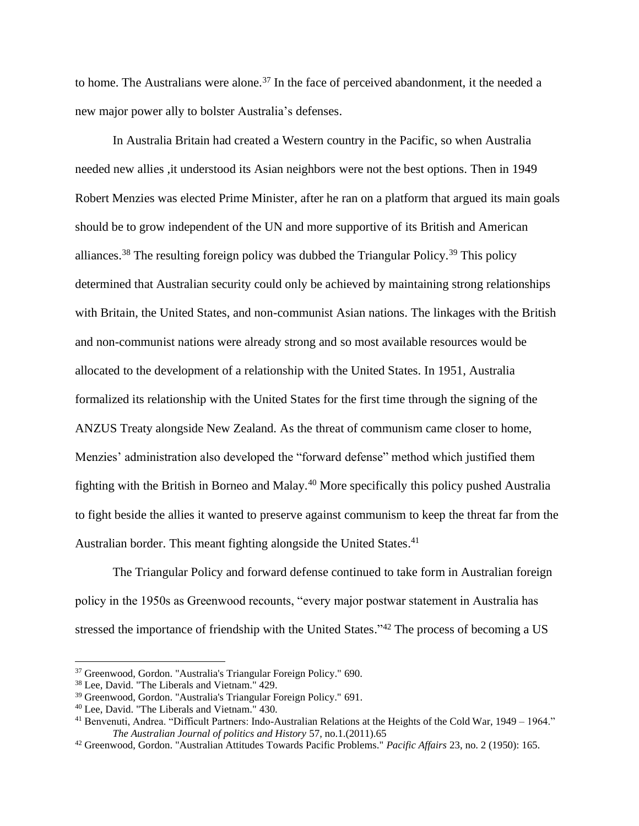to home. The Australians were alone.<sup>37</sup> In the face of perceived abandonment, it the needed a new major power ally to bolster Australia's defenses.

In Australia Britain had created a Western country in the Pacific, so when Australia needed new allies ,it understood its Asian neighbors were not the best options. Then in 1949 Robert Menzies was elected Prime Minister, after he ran on a platform that argued its main goals should be to grow independent of the UN and more supportive of its British and American alliances.<sup>38</sup> The resulting foreign policy was dubbed the Triangular Policy.<sup>39</sup> This policy determined that Australian security could only be achieved by maintaining strong relationships with Britain, the United States, and non-communist Asian nations. The linkages with the British and non-communist nations were already strong and so most available resources would be allocated to the development of a relationship with the United States. In 1951, Australia formalized its relationship with the United States for the first time through the signing of the ANZUS Treaty alongside New Zealand. As the threat of communism came closer to home, Menzies' administration also developed the "forward defense" method which justified them fighting with the British in Borneo and Malay.<sup>40</sup> More specifically this policy pushed Australia to fight beside the allies it wanted to preserve against communism to keep the threat far from the Australian border. This meant fighting alongside the United States.<sup>41</sup>

The Triangular Policy and forward defense continued to take form in Australian foreign policy in the 1950s as Greenwood recounts, "every major postwar statement in Australia has stressed the importance of friendship with the United States."<sup>42</sup> The process of becoming a US

<sup>37</sup> Greenwood, Gordon. "Australia's Triangular Foreign Policy." 690.

<sup>38</sup> Lee, David. "The Liberals and Vietnam." 429.

<sup>39</sup> Greenwood, Gordon. "Australia's Triangular Foreign Policy." 691.

<sup>40</sup> Lee, David. "The Liberals and Vietnam." 430.

<sup>41</sup> Benvenuti, Andrea. "Difficult Partners: Indo-Australian Relations at the Heights of the Cold War, 1949 – 1964." *The Australian Journal of politics and History* 57, no.1.(2011).65

<sup>42</sup> Greenwood, Gordon. "Australian Attitudes Towards Pacific Problems." *Pacific Affairs* 23, no. 2 (1950): 165.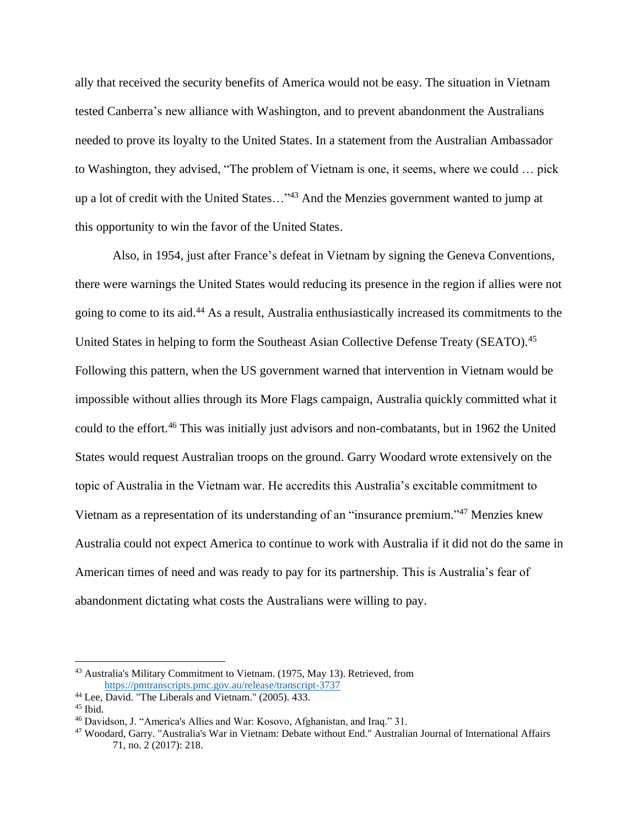ally that received the security benefits of America would not be easy. The situation in Vietnam tested Canberra's new alliance with Washington, and to prevent abandonment the Australians needed to prove its loyalty to the United States. In a statement from the Australian Ambassador to Washington, they advised, "The problem of Vietnam is one, it seems, where we could … pick up a lot of credit with the United States…"<sup>43</sup> And the Menzies government wanted to jump at this opportunity to win the favor of the United States.

Also, in 1954, just after France's defeat in Vietnam by signing the Geneva Conventions, there were warnings the United States would reducing its presence in the region if allies were not going to come to its aid.<sup>44</sup> As a result, Australia enthusiastically increased its commitments to the United States in helping to form the Southeast Asian Collective Defense Treaty (SEATO).<sup>45</sup> Following this pattern, when the US government warned that intervention in Vietnam would be impossible without allies through its More Flags campaign, Australia quickly committed what it could to the effort.<sup>46</sup> This was initially just advisors and non-combatants, but in 1962 the United States would request Australian troops on the ground. Garry Woodard wrote extensively on the topic of Australia in the Vietnam war. He accredits this Australia's excitable commitment to Vietnam as a representation of its understanding of an "insurance premium." <sup>47</sup> Menzies knew Australia could not expect America to continue to work with Australia if it did not do the same in American times of need and was ready to pay for its partnership. This is Australia's fear of abandonment dictating what costs the Australians were willing to pay.

<sup>43</sup> Australia's Military Commitment to Vietnam. (1975, May 13). Retrieved, from <https://pmtranscripts.pmc.gov.au/release/transcript-3737>

<sup>44</sup> Lee, David. "The Liberals and Vietnam." (2005). 433.

 $45$  Ibid.

<sup>46</sup> Davidson, J. "America's Allies and War: Kosovo, Afghanistan, and Iraq." 31.

<sup>47</sup> Woodard, Garry. "Australia's War in Vietnam: Debate without End." Australian Journal of International Affairs 71, no. 2 (2017): 218.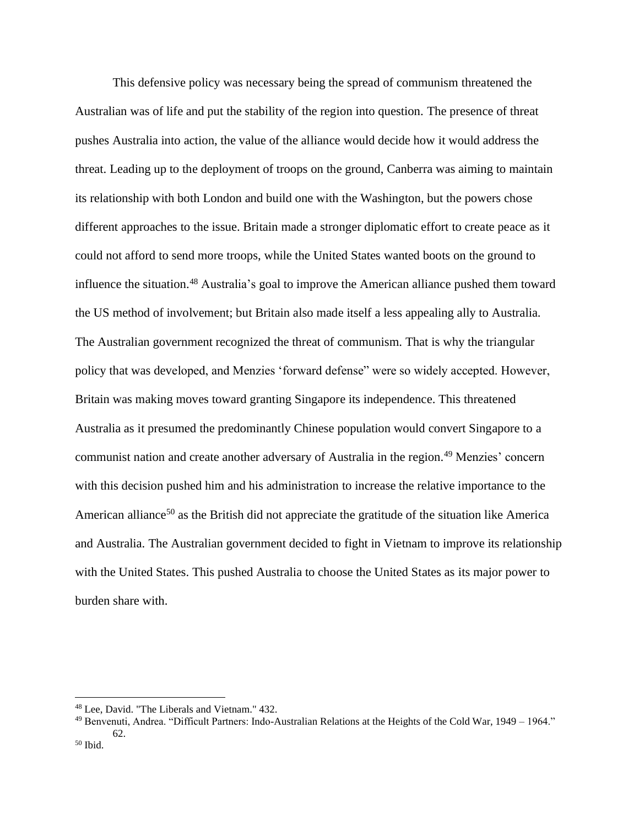This defensive policy was necessary being the spread of communism threatened the Australian was of life and put the stability of the region into question. The presence of threat pushes Australia into action, the value of the alliance would decide how it would address the threat. Leading up to the deployment of troops on the ground, Canberra was aiming to maintain its relationship with both London and build one with the Washington, but the powers chose different approaches to the issue. Britain made a stronger diplomatic effort to create peace as it could not afford to send more troops, while the United States wanted boots on the ground to influence the situation. <sup>48</sup> Australia's goal to improve the American alliance pushed them toward the US method of involvement; but Britain also made itself a less appealing ally to Australia. The Australian government recognized the threat of communism. That is why the triangular policy that was developed, and Menzies 'forward defense" were so widely accepted. However, Britain was making moves toward granting Singapore its independence. This threatened Australia as it presumed the predominantly Chinese population would convert Singapore to a communist nation and create another adversary of Australia in the region.<sup>49</sup> Menzies' concern with this decision pushed him and his administration to increase the relative importance to the American alliance<sup>50</sup> as the British did not appreciate the gratitude of the situation like America and Australia. The Australian government decided to fight in Vietnam to improve its relationship with the United States. This pushed Australia to choose the United States as its major power to burden share with.

<sup>48</sup> Lee, David. "The Liberals and Vietnam." 432.

<sup>49</sup> Benvenuti, Andrea. "Difficult Partners: Indo-Australian Relations at the Heights of the Cold War, 1949 – 1964." 62.

 $50$  Ibid.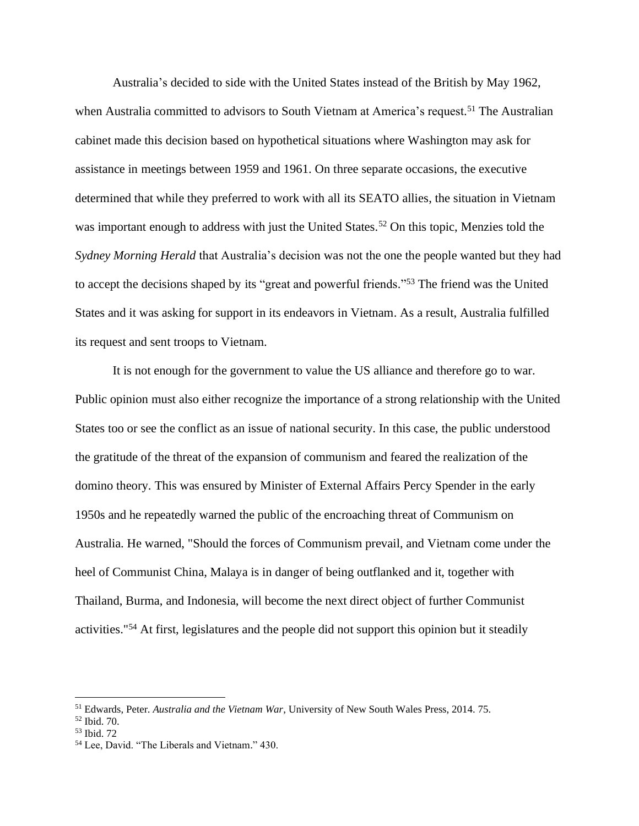Australia's decided to side with the United States instead of the British by May 1962, when Australia committed to advisors to South Vietnam at America's request.<sup>51</sup> The Australian cabinet made this decision based on hypothetical situations where Washington may ask for assistance in meetings between 1959 and 1961. On three separate occasions, the executive determined that while they preferred to work with all its SEATO allies, the situation in Vietnam was important enough to address with just the United States.<sup>52</sup> On this topic, Menzies told the *Sydney Morning Herald* that Australia's decision was not the one the people wanted but they had to accept the decisions shaped by its "great and powerful friends."<sup>53</sup> The friend was the United States and it was asking for support in its endeavors in Vietnam. As a result, Australia fulfilled its request and sent troops to Vietnam.

It is not enough for the government to value the US alliance and therefore go to war. Public opinion must also either recognize the importance of a strong relationship with the United States too or see the conflict as an issue of national security. In this case, the public understood the gratitude of the threat of the expansion of communism and feared the realization of the domino theory. This was ensured by Minister of External Affairs Percy Spender in the early 1950s and he repeatedly warned the public of the encroaching threat of Communism on Australia. He warned, "Should the forces of Communism prevail, and Vietnam come under the heel of Communist China, Malaya is in danger of being outflanked and it, together with Thailand, Burma, and Indonesia, will become the next direct object of further Communist activities."<sup>54</sup> At first, legislatures and the people did not support this opinion but it steadily

<sup>51</sup> Edwards, Peter. *Australia and the Vietnam War*, University of New South Wales Press, 2014. 75.

<sup>52</sup> Ibid. 70.

<sup>53</sup> Ibid. 72

<sup>54</sup> Lee, David. "The Liberals and Vietnam." 430.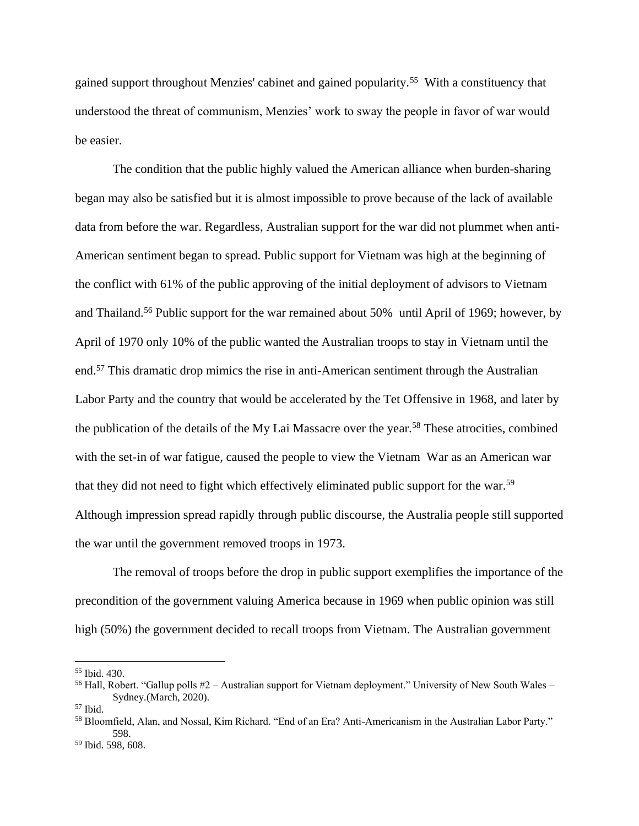gained support throughout Menzies' cabinet and gained popularity.<sup>55</sup> With a constituency that understood the threat of communism, Menzies' work to sway the people in favor of war would be easier.

The condition that the public highly valued the American alliance when burden-sharing began may also be satisfied but it is almost impossible to prove because of the lack of available data from before the war. Regardless, Australian support for the war did not plummet when anti-American sentiment began to spread. Public support for Vietnam was high at the beginning of the conflict with 61% of the public approving of the initial deployment of advisors to Vietnam and Thailand.<sup>56</sup> Public support for the war remained about 50% until April of 1969; however, by April of 1970 only 10% of the public wanted the Australian troops to stay in Vietnam until the end.<sup>57</sup> This dramatic drop mimics the rise in anti-American sentiment through the Australian Labor Party and the country that would be accelerated by the Tet Offensive in 1968, and later by the publication of the details of the My Lai Massacre over the year. <sup>58</sup> These atrocities, combined with the set-in of war fatigue, caused the people to view the Vietnam War as an American war that they did not need to fight which effectively eliminated public support for the war. 59 Although impression spread rapidly through public discourse, the Australia people still supported the war until the government removed troops in 1973.

The removal of troops before the drop in public support exemplifies the importance of the precondition of the government valuing America because in 1969 when public opinion was still high (50%) the government decided to recall troops from Vietnam. The Australian government

<sup>55</sup> Ibid. 430.

<sup>&</sup>lt;sup>56</sup> Hall, Robert. "Gallup polls  $#2$  – Australian support for Vietnam deployment." University of New South Wales – Sydney*.*(March, 2020).

 $57$  Ibid.

<sup>58</sup> Bloomfield, Alan, and Nossal, Kim Richard. "End of an Era? Anti-Americanism in the Australian Labor Party." 598.

<sup>59</sup> Ibid. 598, 608.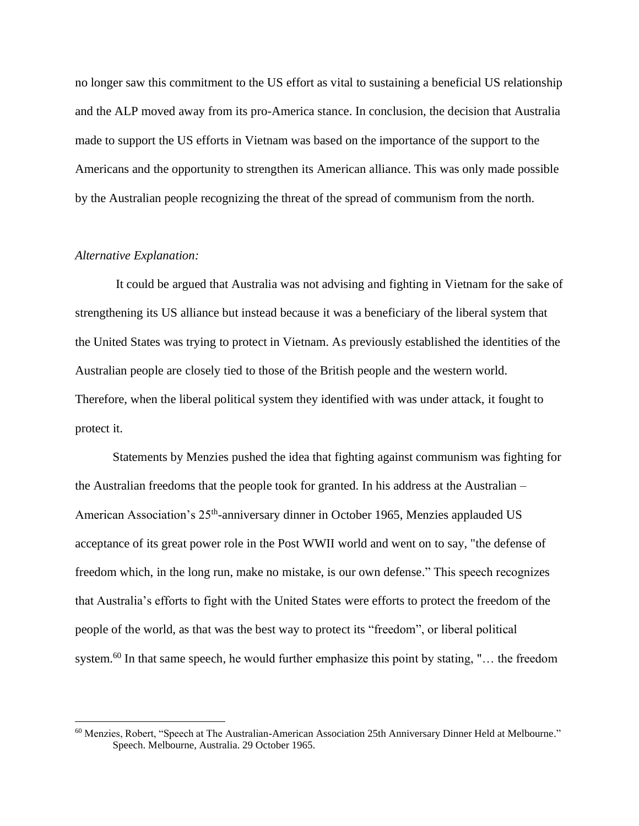no longer saw this commitment to the US effort as vital to sustaining a beneficial US relationship and the ALP moved away from its pro-America stance. In conclusion, the decision that Australia made to support the US efforts in Vietnam was based on the importance of the support to the Americans and the opportunity to strengthen its American alliance. This was only made possible by the Australian people recognizing the threat of the spread of communism from the north.

# *Alternative Explanation:*

It could be argued that Australia was not advising and fighting in Vietnam for the sake of strengthening its US alliance but instead because it was a beneficiary of the liberal system that the United States was trying to protect in Vietnam. As previously established the identities of the Australian people are closely tied to those of the British people and the western world. Therefore, when the liberal political system they identified with was under attack, it fought to protect it.

Statements by Menzies pushed the idea that fighting against communism was fighting for the Australian freedoms that the people took for granted. In his address at the Australian – American Association's 25<sup>th</sup>-anniversary dinner in October 1965, Menzies applauded US acceptance of its great power role in the Post WWII world and went on to say, "the defense of freedom which, in the long run, make no mistake, is our own defense." This speech recognizes that Australia's efforts to fight with the United States were efforts to protect the freedom of the people of the world, as that was the best way to protect its "freedom", or liberal political system.<sup>60</sup> In that same speech, he would further emphasize this point by stating, "... the freedom

<sup>60</sup> Menzies, Robert, "Speech at The Australian-American Association 25th Anniversary Dinner Held at Melbourne." Speech. Melbourne, Australia. 29 October 1965.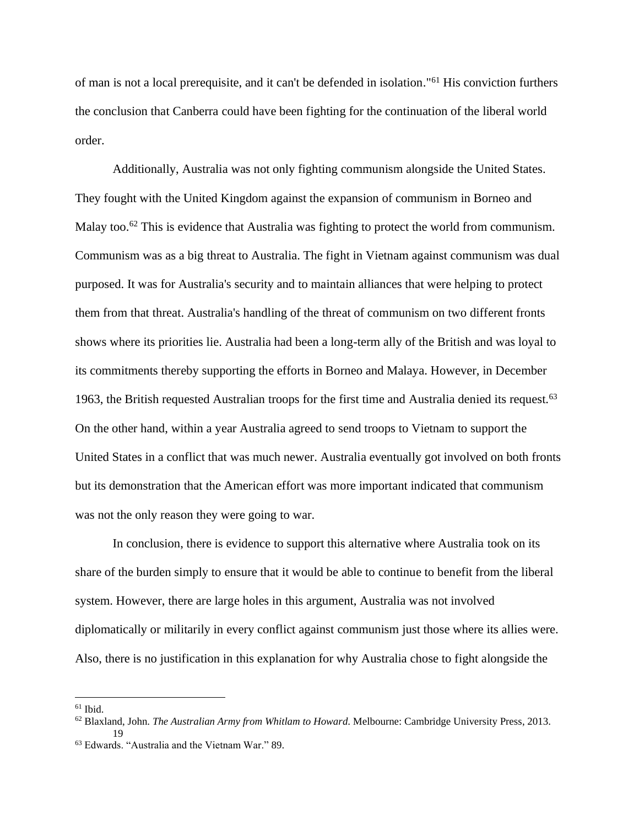of man is not a local prerequisite, and it can't be defended in isolation."<sup>61</sup> His conviction furthers the conclusion that Canberra could have been fighting for the continuation of the liberal world order.

Additionally, Australia was not only fighting communism alongside the United States. They fought with the United Kingdom against the expansion of communism in Borneo and Malay too.<sup>62</sup> This is evidence that Australia was fighting to protect the world from communism. Communism was as a big threat to Australia. The fight in Vietnam against communism was dual purposed. It was for Australia's security and to maintain alliances that were helping to protect them from that threat. Australia's handling of the threat of communism on two different fronts shows where its priorities lie. Australia had been a long-term ally of the British and was loyal to its commitments thereby supporting the efforts in Borneo and Malaya. However, in December 1963, the British requested Australian troops for the first time and Australia denied its request.<sup>63</sup> On the other hand, within a year Australia agreed to send troops to Vietnam to support the United States in a conflict that was much newer. Australia eventually got involved on both fronts but its demonstration that the American effort was more important indicated that communism was not the only reason they were going to war.

In conclusion, there is evidence to support this alternative where Australia took on its share of the burden simply to ensure that it would be able to continue to benefit from the liberal system. However, there are large holes in this argument, Australia was not involved diplomatically or militarily in every conflict against communism just those where its allies were. Also, there is no justification in this explanation for why Australia chose to fight alongside the

 $61$  Ibid.

<sup>62</sup> Blaxland, John. *The Australian Army from Whitlam to Howard*. Melbourne: Cambridge University Press, 2013. 19

<sup>63</sup> Edwards. "Australia and the Vietnam War." 89.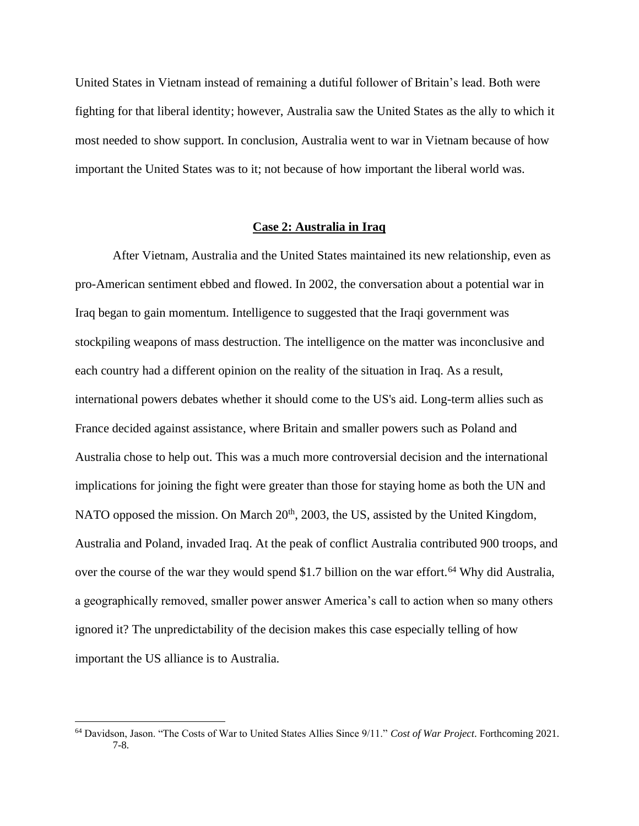United States in Vietnam instead of remaining a dutiful follower of Britain's lead. Both were fighting for that liberal identity; however, Australia saw the United States as the ally to which it most needed to show support. In conclusion, Australia went to war in Vietnam because of how important the United States was to it; not because of how important the liberal world was.

# **Case 2: Australia in Iraq**

After Vietnam, Australia and the United States maintained its new relationship, even as pro-American sentiment ebbed and flowed. In 2002, the conversation about a potential war in Iraq began to gain momentum. Intelligence to suggested that the Iraqi government was stockpiling weapons of mass destruction. The intelligence on the matter was inconclusive and each country had a different opinion on the reality of the situation in Iraq. As a result, international powers debates whether it should come to the US's aid. Long-term allies such as France decided against assistance, where Britain and smaller powers such as Poland and Australia chose to help out. This was a much more controversial decision and the international implications for joining the fight were greater than those for staying home as both the UN and NATO opposed the mission. On March 20<sup>th</sup>, 2003, the US, assisted by the United Kingdom, Australia and Poland, invaded Iraq. At the peak of conflict Australia contributed 900 troops, and over the course of the war they would spend \$1.7 billion on the war effort.<sup>64</sup> Why did Australia, a geographically removed, smaller power answer America's call to action when so many others ignored it? The unpredictability of the decision makes this case especially telling of how important the US alliance is to Australia.

<sup>64</sup> Davidson, Jason. "The Costs of War to United States Allies Since 9/11." *Cost of War Project*. Forthcoming 2021. 7-8.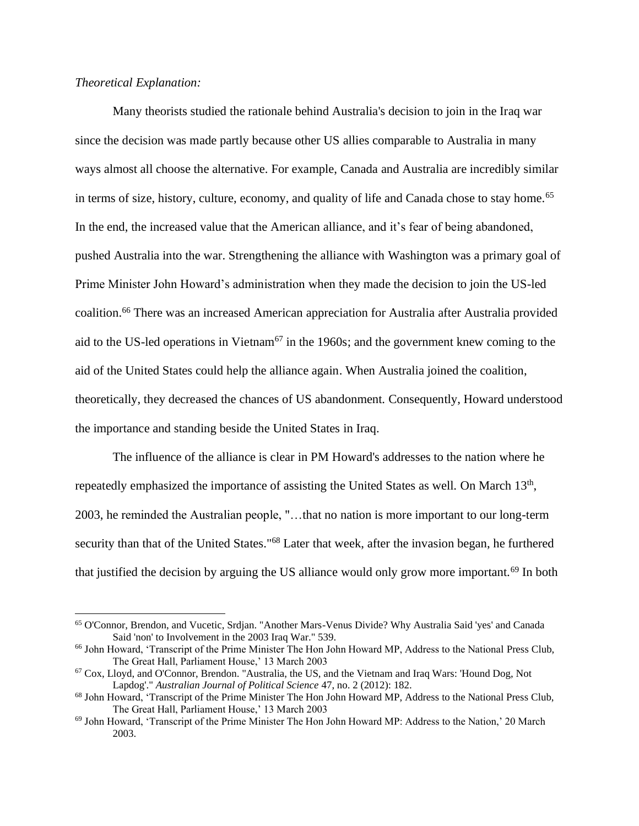# *Theoretical Explanation:*

Many theorists studied the rationale behind Australia's decision to join in the Iraq war since the decision was made partly because other US allies comparable to Australia in many ways almost all choose the alternative. For example, Canada and Australia are incredibly similar in terms of size, history, culture, economy, and quality of life and Canada chose to stay home.<sup>65</sup> In the end, the increased value that the American alliance, and it's fear of being abandoned, pushed Australia into the war. Strengthening the alliance with Washington was a primary goal of Prime Minister John Howard's administration when they made the decision to join the US-led coalition. <sup>66</sup> There was an increased American appreciation for Australia after Australia provided aid to the US-led operations in Vietnam<sup> $67$ </sup> in the 1960s; and the government knew coming to the aid of the United States could help the alliance again. When Australia joined the coalition, theoretically, they decreased the chances of US abandonment. Consequently, Howard understood the importance and standing beside the United States in Iraq.

The influence of the alliance is clear in PM Howard's addresses to the nation where he repeatedly emphasized the importance of assisting the United States as well. On March 13<sup>th</sup>, 2003, he reminded the Australian people, "…that no nation is more important to our long-term security than that of the United States."<sup>68</sup> Later that week, after the invasion began, he furthered that justified the decision by arguing the US alliance would only grow more important.<sup>69</sup> In both

<sup>65</sup> O'Connor, Brendon, and Vucetic, Srdjan. "Another Mars-Venus Divide? Why Australia Said 'yes' and Canada Said 'non' to Involvement in the 2003 Iraq War." 539.

<sup>66</sup> John Howard, 'Transcript of the Prime Minister The Hon John Howard MP, Address to the National Press Club, The Great Hall, Parliament House,' 13 March 2003

<sup>67</sup> Cox, Lloyd, and O'Connor, Brendon. "Australia, the US, and the Vietnam and Iraq Wars: 'Hound Dog, Not Lapdog'." *Australian Journal of Political Science* 47, no. 2 (2012): 182.

<sup>68</sup> John Howard, 'Transcript of the Prime Minister The Hon John Howard MP, Address to the National Press Club, The Great Hall, Parliament House,' 13 March 2003

<sup>69</sup> John Howard, 'Transcript of the Prime Minister The Hon John Howard MP: Address to the Nation,' 20 March 2003.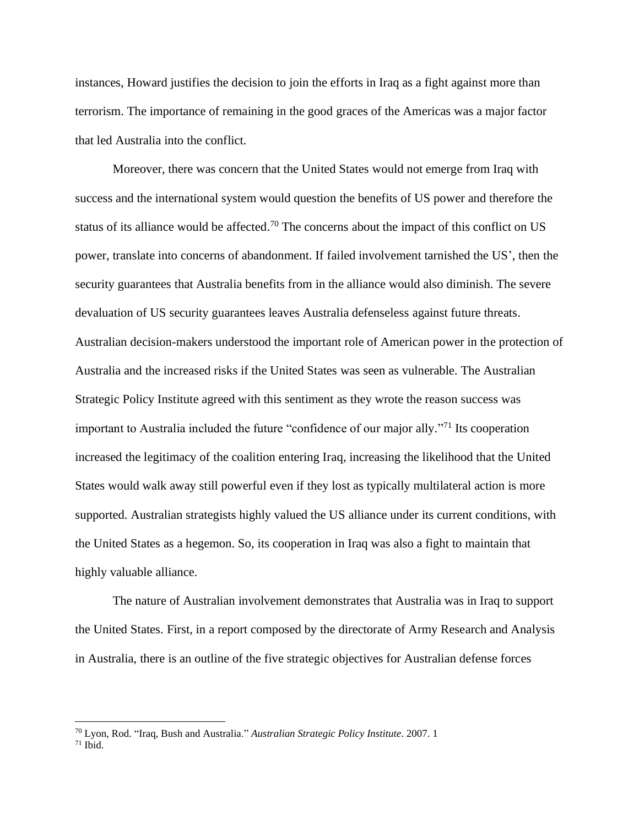instances, Howard justifies the decision to join the efforts in Iraq as a fight against more than terrorism. The importance of remaining in the good graces of the Americas was a major factor that led Australia into the conflict.

Moreover, there was concern that the United States would not emerge from Iraq with success and the international system would question the benefits of US power and therefore the status of its alliance would be affected.<sup>70</sup> The concerns about the impact of this conflict on US power, translate into concerns of abandonment. If failed involvement tarnished the US', then the security guarantees that Australia benefits from in the alliance would also diminish. The severe devaluation of US security guarantees leaves Australia defenseless against future threats. Australian decision-makers understood the important role of American power in the protection of Australia and the increased risks if the United States was seen as vulnerable. The Australian Strategic Policy Institute agreed with this sentiment as they wrote the reason success was important to Australia included the future "confidence of our major ally."<sup>71</sup> Its cooperation increased the legitimacy of the coalition entering Iraq, increasing the likelihood that the United States would walk away still powerful even if they lost as typically multilateral action is more supported. Australian strategists highly valued the US alliance under its current conditions, with the United States as a hegemon. So, its cooperation in Iraq was also a fight to maintain that highly valuable alliance.

The nature of Australian involvement demonstrates that Australia was in Iraq to support the United States. First, in a report composed by the directorate of Army Research and Analysis in Australia, there is an outline of the five strategic objectives for Australian defense forces

<sup>70</sup> Lyon, Rod. "Iraq, Bush and Australia." *Australian Strategic Policy Institute*. 2007. 1  $71$  Ibid.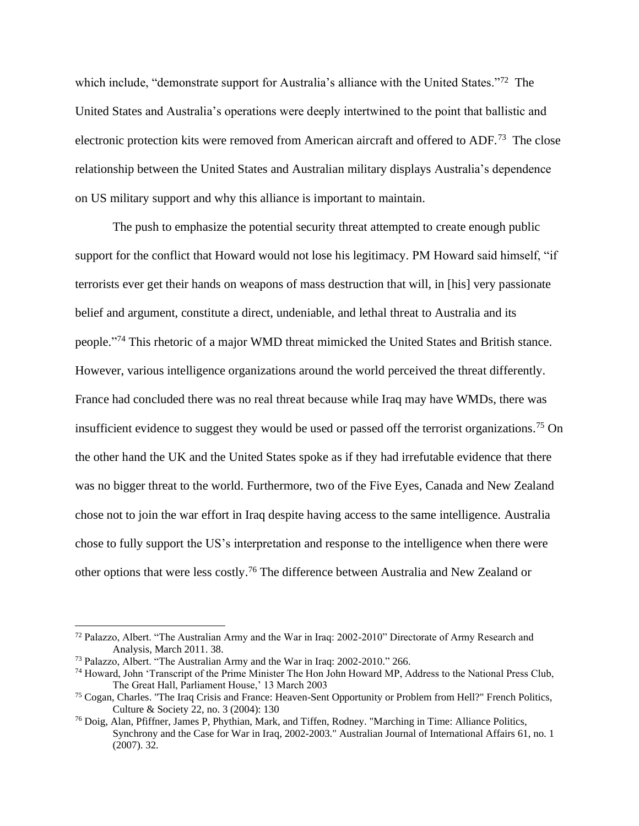which include, "demonstrate support for Australia's alliance with the United States."<sup>72</sup> The United States and Australia's operations were deeply intertwined to the point that ballistic and electronic protection kits were removed from American aircraft and offered to ADF.<sup>73</sup> The close relationship between the United States and Australian military displays Australia's dependence on US military support and why this alliance is important to maintain.

The push to emphasize the potential security threat attempted to create enough public support for the conflict that Howard would not lose his legitimacy. PM Howard said himself, "if terrorists ever get their hands on weapons of mass destruction that will, in [his] very passionate belief and argument, constitute a direct, undeniable, and lethal threat to Australia and its people."<sup>74</sup> This rhetoric of a major WMD threat mimicked the United States and British stance. However, various intelligence organizations around the world perceived the threat differently. France had concluded there was no real threat because while Iraq may have WMDs, there was insufficient evidence to suggest they would be used or passed off the terrorist organizations. <sup>75</sup> On the other hand the UK and the United States spoke as if they had irrefutable evidence that there was no bigger threat to the world. Furthermore, two of the Five Eyes, Canada and New Zealand chose not to join the war effort in Iraq despite having access to the same intelligence. Australia chose to fully support the US's interpretation and response to the intelligence when there were other options that were less costly. <sup>76</sup> The difference between Australia and New Zealand or

<sup>&</sup>lt;sup>72</sup> Palazzo, Albert. "The Australian Army and the War in Iraq: 2002-2010" Directorate of Army Research and Analysis, March 2011. 38.

<sup>73</sup> Palazzo, Albert. "The Australian Army and the War in Iraq: 2002-2010." 266.

<sup>74</sup> Howard, John 'Transcript of the Prime Minister The Hon John Howard MP, Address to the National Press Club, The Great Hall, Parliament House,' 13 March 2003

<sup>75</sup> Cogan, Charles. "The Iraq Crisis and France: Heaven-Sent Opportunity or Problem from Hell?" French Politics, Culture & Society 22, no. 3 (2004): 130

<sup>76</sup> Doig, Alan, Pfiffner, James P, Phythian, Mark, and Tiffen, Rodney. "Marching in Time: Alliance Politics, Synchrony and the Case for War in Iraq, 2002-2003." Australian Journal of International Affairs 61, no. 1 (2007). 32.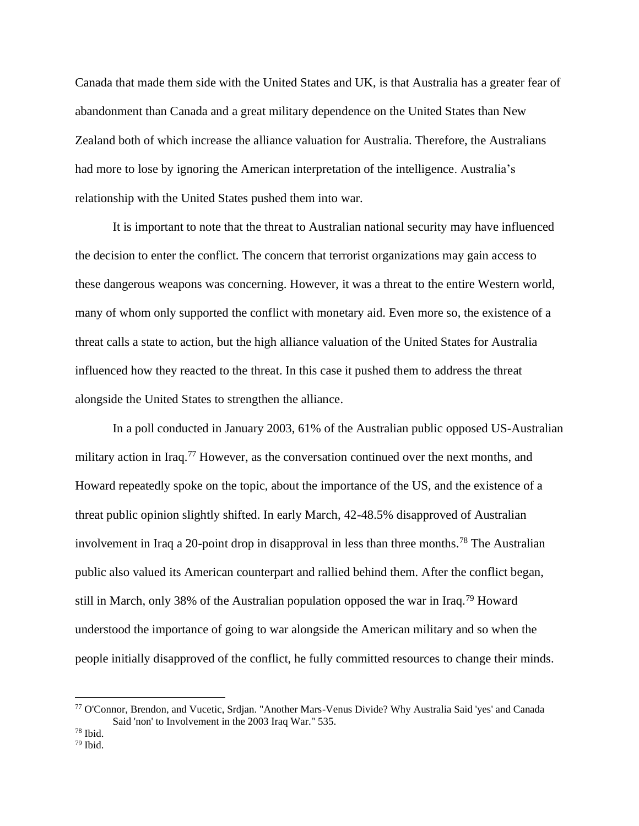Canada that made them side with the United States and UK, is that Australia has a greater fear of abandonment than Canada and a great military dependence on the United States than New Zealand both of which increase the alliance valuation for Australia. Therefore, the Australians had more to lose by ignoring the American interpretation of the intelligence. Australia's relationship with the United States pushed them into war.

It is important to note that the threat to Australian national security may have influenced the decision to enter the conflict. The concern that terrorist organizations may gain access to these dangerous weapons was concerning. However, it was a threat to the entire Western world, many of whom only supported the conflict with monetary aid. Even more so, the existence of a threat calls a state to action, but the high alliance valuation of the United States for Australia influenced how they reacted to the threat. In this case it pushed them to address the threat alongside the United States to strengthen the alliance.

In a poll conducted in January 2003, 61% of the Australian public opposed US-Australian military action in Iraq.<sup>77</sup> However, as the conversation continued over the next months, and Howard repeatedly spoke on the topic, about the importance of the US, and the existence of a threat public opinion slightly shifted. In early March, 42-48.5% disapproved of Australian involvement in Iraq a 20-point drop in disapproval in less than three months. <sup>78</sup> The Australian public also valued its American counterpart and rallied behind them. After the conflict began, still in March, only 38% of the Australian population opposed the war in Iraq.<sup>79</sup> Howard understood the importance of going to war alongside the American military and so when the people initially disapproved of the conflict, he fully committed resources to change their minds.

<sup>77</sup> O'Connor, Brendon, and Vucetic, Srdjan. "Another Mars-Venus Divide? Why Australia Said 'yes' and Canada Said 'non' to Involvement in the 2003 Iraq War." 535.

<sup>78</sup> Ibid.

 $79$  Ibid.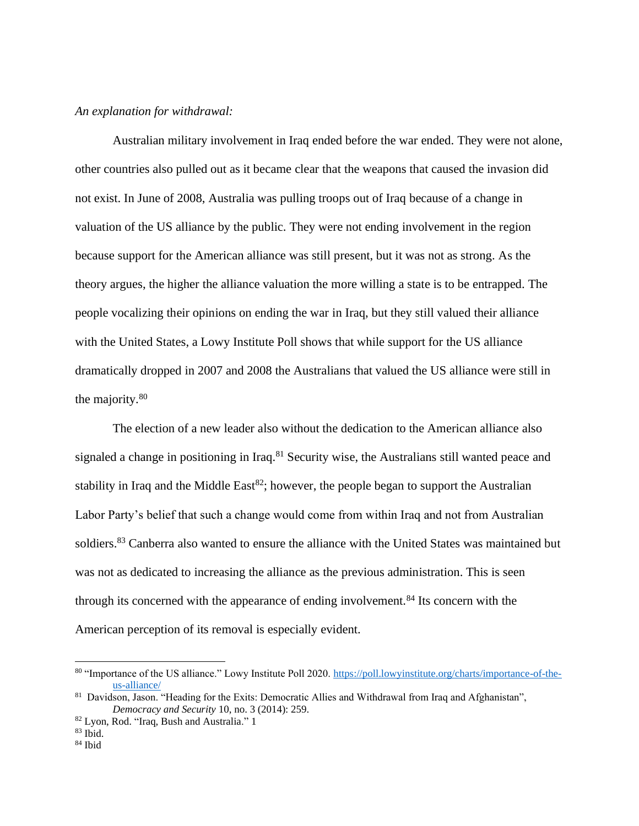## *An explanation for withdrawal:*

Australian military involvement in Iraq ended before the war ended. They were not alone, other countries also pulled out as it became clear that the weapons that caused the invasion did not exist. In June of 2008, Australia was pulling troops out of Iraq because of a change in valuation of the US alliance by the public. They were not ending involvement in the region because support for the American alliance was still present, but it was not as strong. As the theory argues, the higher the alliance valuation the more willing a state is to be entrapped. The people vocalizing their opinions on ending the war in Iraq, but they still valued their alliance with the United States, a Lowy Institute Poll shows that while support for the US alliance dramatically dropped in 2007 and 2008 the Australians that valued the US alliance were still in the majority.<sup>80</sup>

The election of a new leader also without the dedication to the American alliance also signaled a change in positioning in Iraq.<sup>81</sup> Security wise, the Australians still wanted peace and stability in Iraq and the Middle East $^{82}$ ; however, the people began to support the Australian Labor Party's belief that such a change would come from within Iraq and not from Australian soldiers.<sup>83</sup> Canberra also wanted to ensure the alliance with the United States was maintained but was not as dedicated to increasing the alliance as the previous administration. This is seen through its concerned with the appearance of ending involvement.<sup>84</sup> Its concern with the American perception of its removal is especially evident.

<sup>80</sup> "Importance of the US alliance." Lowy Institute Poll 2020. [https://poll.lowyinstitute.org/charts/importance-of-the](about:blank)[us-alliance/](about:blank)

<sup>81</sup> Davidson, Jason. "Heading for the Exits: Democratic Allies and Withdrawal from Iraq and Afghanistan", *Democracy and Security* 10, no. 3 (2014): 259.

<sup>82</sup> Lyon, Rod. "Iraq, Bush and Australia." 1

<sup>83</sup> Ibid.

 $84$  Ibid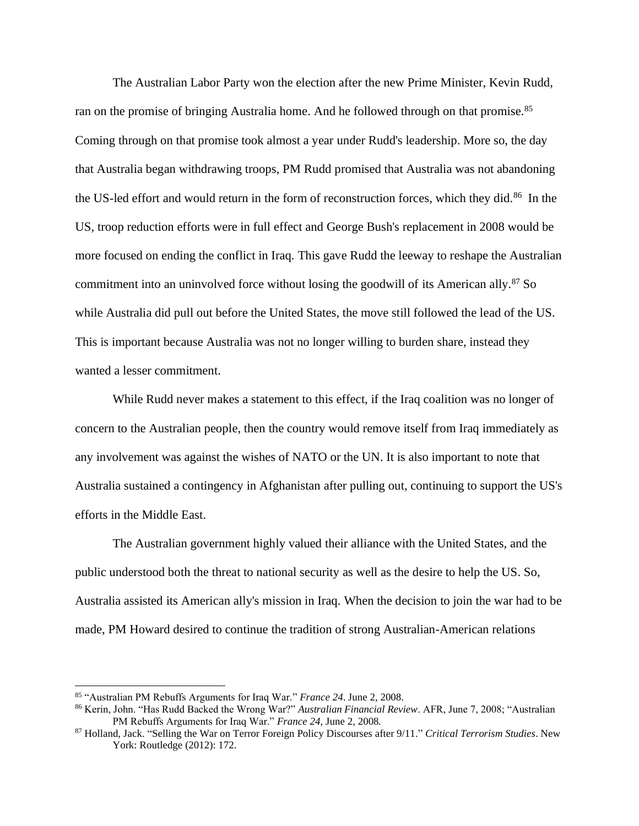The Australian Labor Party won the election after the new Prime Minister, Kevin Rudd, ran on the promise of bringing Australia home. And he followed through on that promise.<sup>85</sup> Coming through on that promise took almost a year under Rudd's leadership. More so, the day that Australia began withdrawing troops, PM Rudd promised that Australia was not abandoning the US-led effort and would return in the form of reconstruction forces, which they did.<sup>86</sup> In the US, troop reduction efforts were in full effect and George Bush's replacement in 2008 would be more focused on ending the conflict in Iraq. This gave Rudd the leeway to reshape the Australian commitment into an uninvolved force without losing the goodwill of its American ally.<sup>87</sup> So while Australia did pull out before the United States, the move still followed the lead of the US. This is important because Australia was not no longer willing to burden share, instead they wanted a lesser commitment.

While Rudd never makes a statement to this effect, if the Iraq coalition was no longer of concern to the Australian people, then the country would remove itself from Iraq immediately as any involvement was against the wishes of NATO or the UN. It is also important to note that Australia sustained a contingency in Afghanistan after pulling out, continuing to support the US's efforts in the Middle East.

The Australian government highly valued their alliance with the United States, and the public understood both the threat to national security as well as the desire to help the US. So, Australia assisted its American ally's mission in Iraq. When the decision to join the war had to be made, PM Howard desired to continue the tradition of strong Australian-American relations

<sup>85</sup> "Australian PM Rebuffs Arguments for Iraq War." *France 24*. June 2, 2008.

<sup>86</sup> Kerin, John. "Has Rudd Backed the Wrong War?" *Australian Financial Review*. AFR, June 7, 2008; "Australian PM Rebuffs Arguments for Iraq War." *France 24*, June 2, 2008.

<sup>87</sup> Holland, Jack. "Selling the War on Terror Foreign Policy Discourses after 9/11." *Critical Terrorism Studies*. New York: Routledge (2012): 172.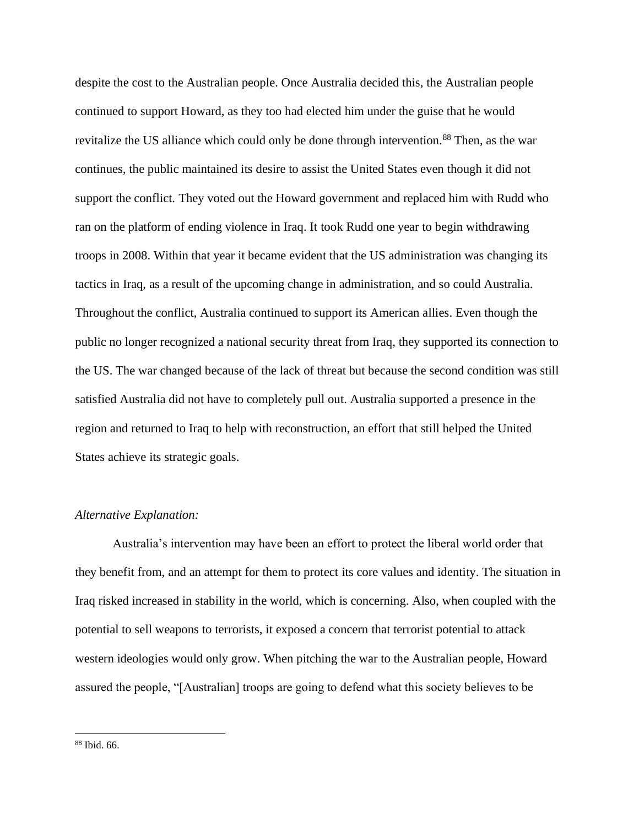despite the cost to the Australian people. Once Australia decided this, the Australian people continued to support Howard, as they too had elected him under the guise that he would revitalize the US alliance which could only be done through intervention.<sup>88</sup> Then, as the war continues, the public maintained its desire to assist the United States even though it did not support the conflict. They voted out the Howard government and replaced him with Rudd who ran on the platform of ending violence in Iraq. It took Rudd one year to begin withdrawing troops in 2008. Within that year it became evident that the US administration was changing its tactics in Iraq, as a result of the upcoming change in administration, and so could Australia. Throughout the conflict, Australia continued to support its American allies. Even though the public no longer recognized a national security threat from Iraq, they supported its connection to the US. The war changed because of the lack of threat but because the second condition was still satisfied Australia did not have to completely pull out. Australia supported a presence in the region and returned to Iraq to help with reconstruction, an effort that still helped the United States achieve its strategic goals.

## *Alternative Explanation:*

Australia's intervention may have been an effort to protect the liberal world order that they benefit from, and an attempt for them to protect its core values and identity. The situation in Iraq risked increased in stability in the world, which is concerning. Also, when coupled with the potential to sell weapons to terrorists, it exposed a concern that terrorist potential to attack western ideologies would only grow. When pitching the war to the Australian people, Howard assured the people, "[Australian] troops are going to defend what this society believes to be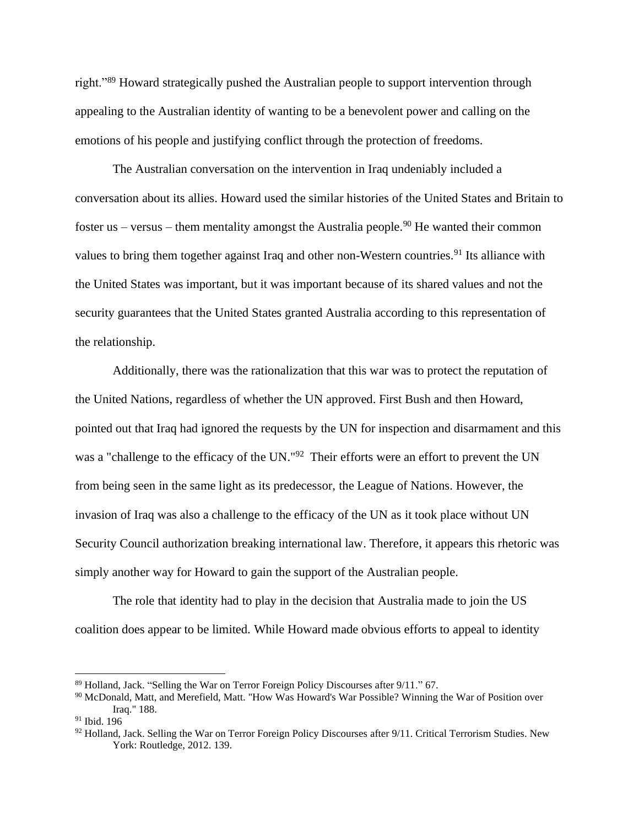right."<sup>89</sup> Howard strategically pushed the Australian people to support intervention through appealing to the Australian identity of wanting to be a benevolent power and calling on the emotions of his people and justifying conflict through the protection of freedoms.

The Australian conversation on the intervention in Iraq undeniably included a conversation about its allies. Howard used the similar histories of the United States and Britain to foster us – versus – them mentality amongst the Australia people.<sup>90</sup> He wanted their common values to bring them together against Iraq and other non-Western countries.<sup>91</sup> Its alliance with the United States was important, but it was important because of its shared values and not the security guarantees that the United States granted Australia according to this representation of the relationship.

Additionally, there was the rationalization that this war was to protect the reputation of the United Nations, regardless of whether the UN approved. First Bush and then Howard, pointed out that Iraq had ignored the requests by the UN for inspection and disarmament and this was a "challenge to the efficacy of the UN."<sup>92</sup> Their efforts were an effort to prevent the UN from being seen in the same light as its predecessor, the League of Nations. However, the invasion of Iraq was also a challenge to the efficacy of the UN as it took place without UN Security Council authorization breaking international law. Therefore, it appears this rhetoric was simply another way for Howard to gain the support of the Australian people.

The role that identity had to play in the decision that Australia made to join the US coalition does appear to be limited. While Howard made obvious efforts to appeal to identity

 $89$  Holland, Jack. "Selling the War on Terror Foreign Policy Discourses after  $9/11$ ." 67.

<sup>90</sup> McDonald, Matt, and Merefield, Matt. "How Was Howard's War Possible? Winning the War of Position over Iraq." 188.

<sup>91</sup> Ibid. 196

<sup>92</sup> Holland, Jack. Selling the War on Terror Foreign Policy Discourses after 9/11. Critical Terrorism Studies. New York: Routledge, 2012. 139.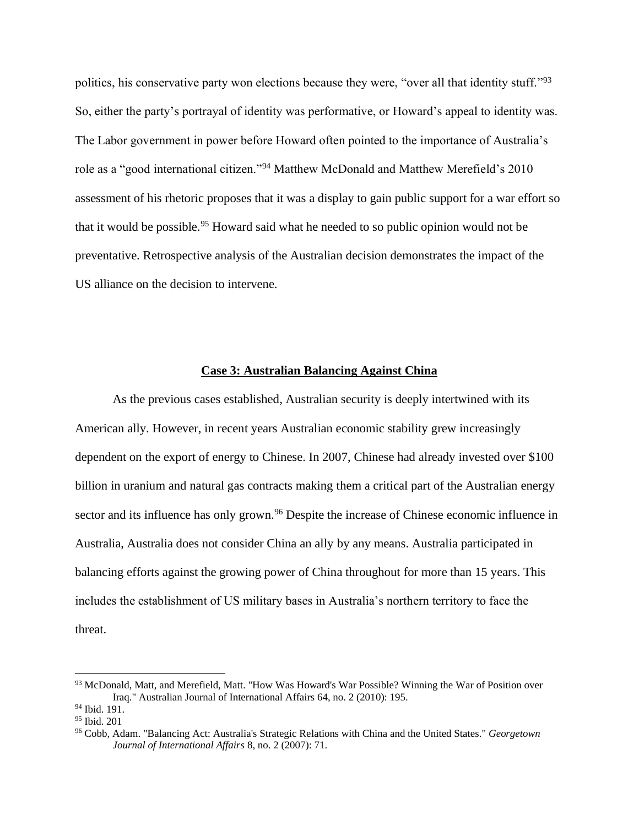politics, his conservative party won elections because they were, "over all that identity stuff."<sup>93</sup> So, either the party's portrayal of identity was performative, or Howard's appeal to identity was. The Labor government in power before Howard often pointed to the importance of Australia's role as a "good international citizen."<sup>94</sup> Matthew McDonald and Matthew Merefield's 2010 assessment of his rhetoric proposes that it was a display to gain public support for a war effort so that it would be possible.<sup>95</sup> Howard said what he needed to so public opinion would not be preventative. Retrospective analysis of the Australian decision demonstrates the impact of the US alliance on the decision to intervene.

## **Case 3: Australian Balancing Against China**

As the previous cases established, Australian security is deeply intertwined with its American ally. However, in recent years Australian economic stability grew increasingly dependent on the export of energy to Chinese. In 2007, Chinese had already invested over \$100 billion in uranium and natural gas contracts making them a critical part of the Australian energy sector and its influence has only grown.<sup>96</sup> Despite the increase of Chinese economic influence in Australia, Australia does not consider China an ally by any means. Australia participated in balancing efforts against the growing power of China throughout for more than 15 years. This includes the establishment of US military bases in Australia's northern territory to face the threat.

<sup>93</sup> McDonald, Matt, and Merefield, Matt. "How Was Howard's War Possible? Winning the War of Position over Iraq." Australian Journal of International Affairs 64, no. 2 (2010): 195.

<sup>&</sup>lt;sup>94</sup> Ibid. 191.

<sup>95</sup> Ibid. 201

<sup>96</sup> Cobb, Adam. "Balancing Act: Australia's Strategic Relations with China and the United States." *Georgetown Journal of International Affairs* 8, no. 2 (2007): 71.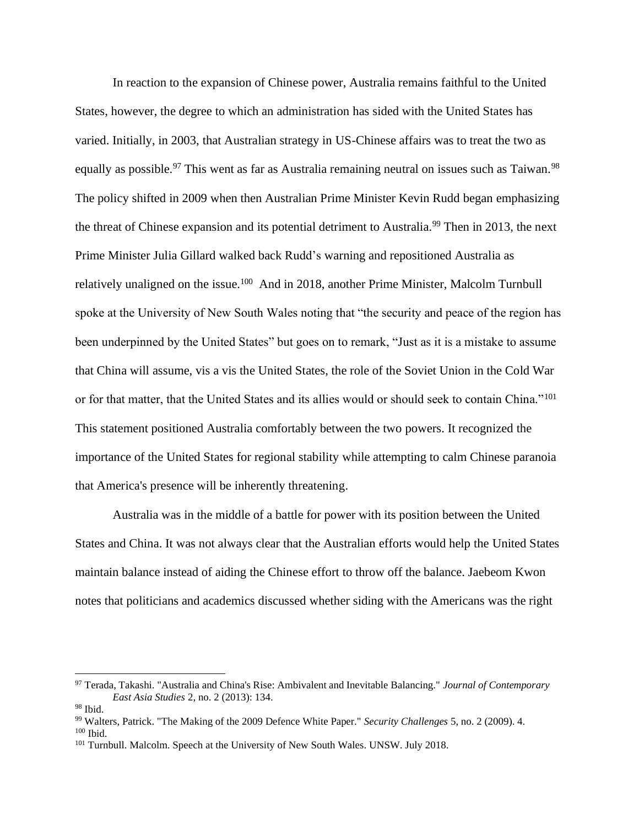In reaction to the expansion of Chinese power, Australia remains faithful to the United States, however, the degree to which an administration has sided with the United States has varied. Initially, in 2003, that Australian strategy in US-Chinese affairs was to treat the two as equally as possible.<sup>97</sup> This went as far as Australia remaining neutral on issues such as Taiwan.<sup>98</sup> The policy shifted in 2009 when then Australian Prime Minister Kevin Rudd began emphasizing the threat of Chinese expansion and its potential detriment to Australia.<sup>99</sup> Then in 2013, the next Prime Minister Julia Gillard walked back Rudd's warning and repositioned Australia as relatively unaligned on the issue.<sup>100</sup> And in 2018, another Prime Minister, Malcolm Turnbull spoke at the University of New South Wales noting that "the security and peace of the region has been underpinned by the United States" but goes on to remark, "Just as it is a mistake to assume that China will assume, vis a vis the United States, the role of the Soviet Union in the Cold War or for that matter, that the United States and its allies would or should seek to contain China."<sup>101</sup> This statement positioned Australia comfortably between the two powers. It recognized the importance of the United States for regional stability while attempting to calm Chinese paranoia that America's presence will be inherently threatening.

Australia was in the middle of a battle for power with its position between the United States and China. It was not always clear that the Australian efforts would help the United States maintain balance instead of aiding the Chinese effort to throw off the balance. Jaebeom Kwon notes that politicians and academics discussed whether siding with the Americans was the right

<sup>97</sup> Terada, Takashi. "Australia and China's Rise: Ambivalent and Inevitable Balancing." *Journal of Contemporary East Asia Studies* 2, no. 2 (2013): 134.

 $98$  Ibid.

<sup>99</sup> Walters, Patrick. "The Making of the 2009 Defence White Paper." *Security Challenges* 5, no. 2 (2009). 4. <sup>100</sup> Ibid.

<sup>&</sup>lt;sup>101</sup> Turnbull. Malcolm. Speech at the University of New South Wales. UNSW. July 2018.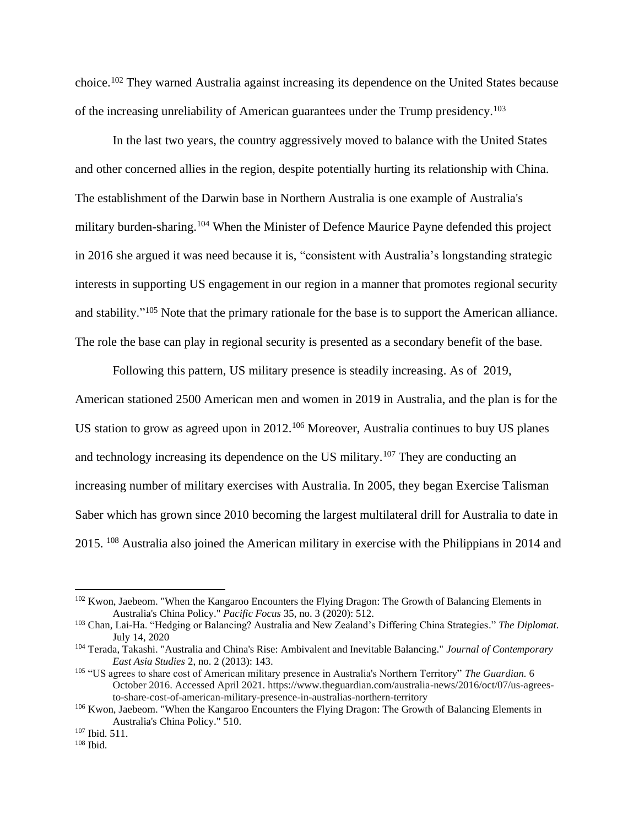choice.<sup>102</sup> They warned Australia against increasing its dependence on the United States because of the increasing unreliability of American guarantees under the Trump presidency.<sup>103</sup>

In the last two years, the country aggressively moved to balance with the United States and other concerned allies in the region, despite potentially hurting its relationship with China. The establishment of the Darwin base in Northern Australia is one example of Australia's military burden-sharing.<sup>104</sup> When the Minister of Defence Maurice Payne defended this project in 2016 she argued it was need because it is, "consistent with Australia's longstanding strategic interests in supporting US engagement in our region in a manner that promotes regional security and stability."<sup>105</sup> Note that the primary rationale for the base is to support the American alliance. The role the base can play in regional security is presented as a secondary benefit of the base.

Following this pattern, US military presence is steadily increasing. As of 2019, American stationed 2500 American men and women in 2019 in Australia, and the plan is for the US station to grow as agreed upon in 2012.<sup>106</sup> Moreover, Australia continues to buy US planes and technology increasing its dependence on the US military.<sup>107</sup> They are conducting an increasing number of military exercises with Australia. In 2005, they began Exercise Talisman Saber which has grown since 2010 becoming the largest multilateral drill for Australia to date in 2015. <sup>108</sup> Australia also joined the American military in exercise with the Philippians in 2014 and

<sup>&</sup>lt;sup>102</sup> Kwon, Jaebeom. "When the Kangaroo Encounters the Flying Dragon: The Growth of Balancing Elements in Australia's China Policy." *Pacific Focus* 35, no. 3 (2020): 512.

<sup>103</sup> Chan, Lai-Ha. "Hedging or Balancing? Australia and New Zealand's Differing China Strategies." *The Diplomat*. July 14, 2020

<sup>104</sup> Terada, Takashi. "Australia and China's Rise: Ambivalent and Inevitable Balancing." *Journal of Contemporary East Asia Studies* 2, no. 2 (2013): 143.

<sup>105</sup> "US agrees to share cost of American military presence in Australia's Northern Territory" *The Guardian.* 6 October 2016. Accessed April 2021. https://www.theguardian.com/australia-news/2016/oct/07/us-agreesto-share-cost-of-american-military-presence-in-australias-northern-territory

<sup>&</sup>lt;sup>106</sup> Kwon, Jaebeom. "When the Kangaroo Encounters the Flying Dragon: The Growth of Balancing Elements in Australia's China Policy." 510.

<sup>107</sup> Ibid. 511.

 $108$  Ibid.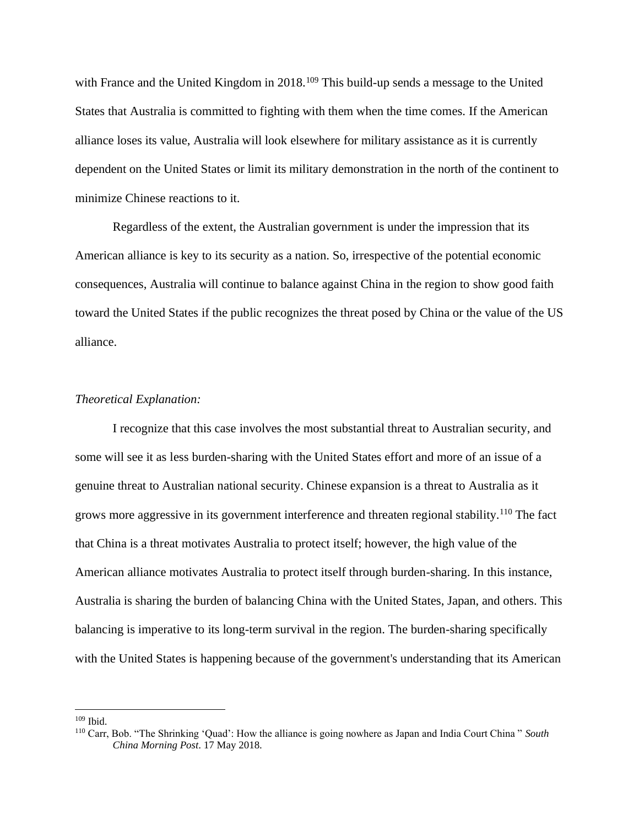with France and the United Kingdom in 2018.<sup>109</sup> This build-up sends a message to the United States that Australia is committed to fighting with them when the time comes. If the American alliance loses its value, Australia will look elsewhere for military assistance as it is currently dependent on the United States or limit its military demonstration in the north of the continent to minimize Chinese reactions to it.

Regardless of the extent, the Australian government is under the impression that its American alliance is key to its security as a nation. So, irrespective of the potential economic consequences, Australia will continue to balance against China in the region to show good faith toward the United States if the public recognizes the threat posed by China or the value of the US alliance.

## *Theoretical Explanation:*

I recognize that this case involves the most substantial threat to Australian security, and some will see it as less burden-sharing with the United States effort and more of an issue of a genuine threat to Australian national security. Chinese expansion is a threat to Australia as it grows more aggressive in its government interference and threaten regional stability. <sup>110</sup> The fact that China is a threat motivates Australia to protect itself; however, the high value of the American alliance motivates Australia to protect itself through burden-sharing. In this instance, Australia is sharing the burden of balancing China with the United States, Japan, and others. This balancing is imperative to its long-term survival in the region. The burden-sharing specifically with the United States is happening because of the government's understanding that its American

<sup>109</sup> Ibid.

<sup>110</sup> Carr, Bob. "The Shrinking 'Quad': How the alliance is going nowhere as Japan and India Court China " *South China Morning Post*. 17 May 2018.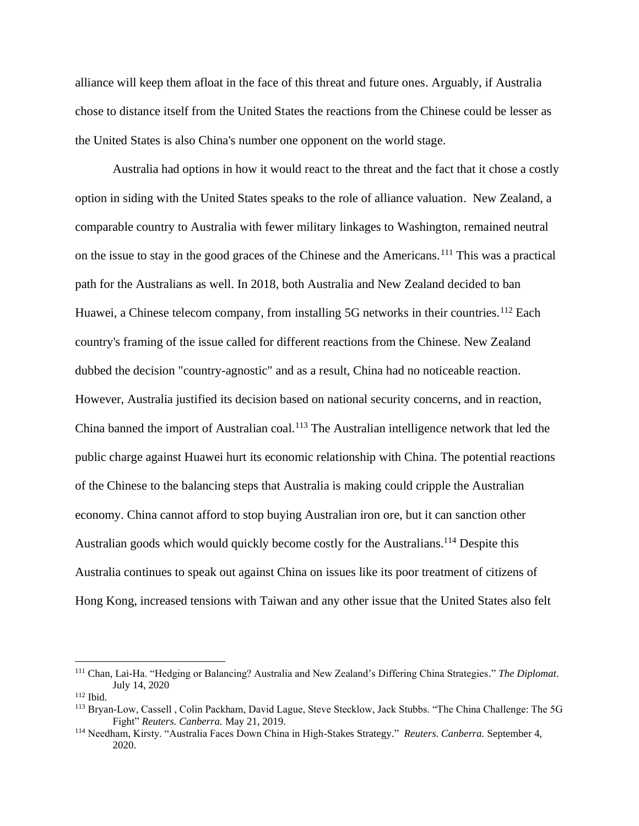alliance will keep them afloat in the face of this threat and future ones. Arguably, if Australia chose to distance itself from the United States the reactions from the Chinese could be lesser as the United States is also China's number one opponent on the world stage.

Australia had options in how it would react to the threat and the fact that it chose a costly option in siding with the United States speaks to the role of alliance valuation. New Zealand, a comparable country to Australia with fewer military linkages to Washington, remained neutral on the issue to stay in the good graces of the Chinese and the Americans.<sup>111</sup> This was a practical path for the Australians as well. In 2018, both Australia and New Zealand decided to ban Huawei, a Chinese telecom company, from installing 5G networks in their countries.<sup>112</sup> Each country's framing of the issue called for different reactions from the Chinese. New Zealand dubbed the decision "country-agnostic" and as a result, China had no noticeable reaction. However, Australia justified its decision based on national security concerns, and in reaction, China banned the import of Australian coal.<sup>113</sup> The Australian intelligence network that led the public charge against Huawei hurt its economic relationship with China. The potential reactions of the Chinese to the balancing steps that Australia is making could cripple the Australian economy. China cannot afford to stop buying Australian iron ore, but it can sanction other Australian goods which would quickly become costly for the Australians.<sup>114</sup> Despite this Australia continues to speak out against China on issues like its poor treatment of citizens of Hong Kong, increased tensions with Taiwan and any other issue that the United States also felt

<sup>111</sup> Chan, Lai-Ha. "Hedging or Balancing? Australia and New Zealand's Differing China Strategies." *The Diplomat*. July 14, 2020

<sup>112</sup> Ibid.

<sup>113</sup> Bryan-Low, Cassell , Colin Packham, David Lague, Steve Stecklow, Jack Stubbs. "The China Challenge: The 5G Fight" *Reuters. Canberra.* May 21, 2019.

<sup>114</sup> Needham, Kirsty. "Australia Faces Down China in High-Stakes Strategy." *Reuters. Canberra.* September 4, 2020.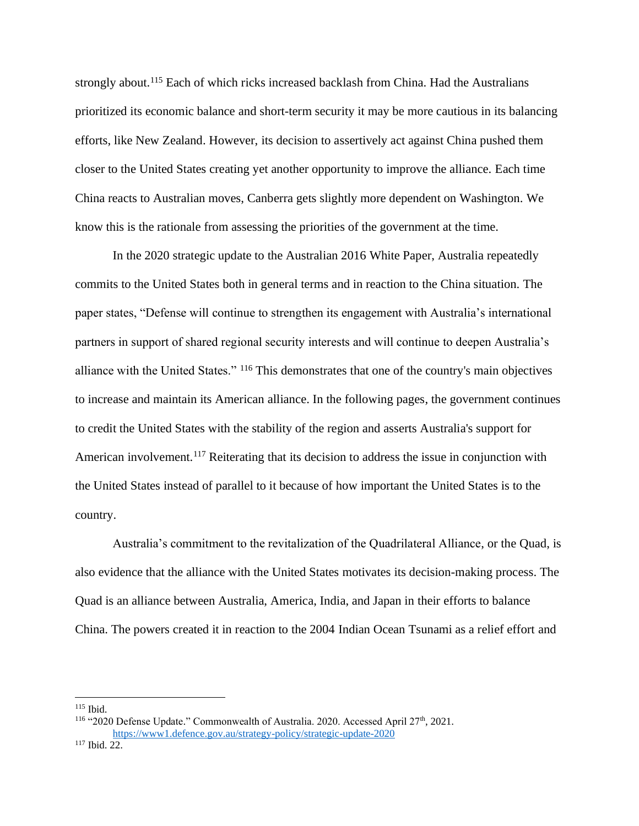strongly about.<sup>115</sup> Each of which ricks increased backlash from China. Had the Australians prioritized its economic balance and short-term security it may be more cautious in its balancing efforts, like New Zealand. However, its decision to assertively act against China pushed them closer to the United States creating yet another opportunity to improve the alliance. Each time China reacts to Australian moves, Canberra gets slightly more dependent on Washington. We know this is the rationale from assessing the priorities of the government at the time.

In the 2020 strategic update to the Australian 2016 White Paper, Australia repeatedly commits to the United States both in general terms and in reaction to the China situation. The paper states, "Defense will continue to strengthen its engagement with Australia's international partners in support of shared regional security interests and will continue to deepen Australia's alliance with the United States." <sup>116</sup> This demonstrates that one of the country's main objectives to increase and maintain its American alliance. In the following pages, the government continues to credit the United States with the stability of the region and asserts Australia's support for American involvement.<sup>117</sup> Reiterating that its decision to address the issue in conjunction with the United States instead of parallel to it because of how important the United States is to the country.

Australia's commitment to the revitalization of the Quadrilateral Alliance, or the Quad, is also evidence that the alliance with the United States motivates its decision-making process. The Quad is an alliance between Australia, America, India, and Japan in their efforts to balance China. The powers created it in reaction to the 2004 Indian Ocean Tsunami as a relief effort and

 $115$  Ibid.

<sup>&</sup>lt;sup>116</sup> "2020 Defense Update." Commonwealth of Australia. 2020. Accessed April 27<sup>th</sup>, 2021. <https://www1.defence.gov.au/strategy-policy/strategic-update-2020>

<sup>117</sup> Ibid. 22.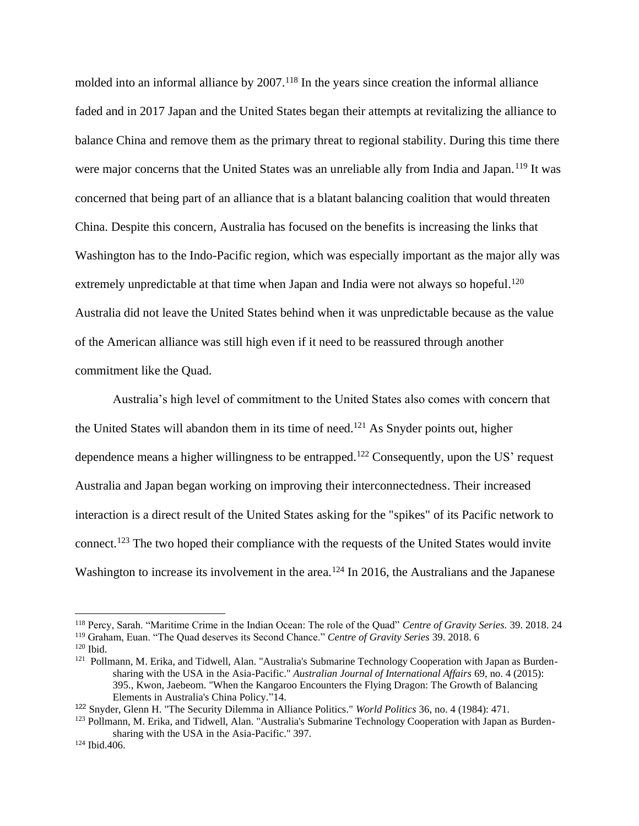molded into an informal alliance by 2007.<sup>118</sup> In the years since creation the informal alliance faded and in 2017 Japan and the United States began their attempts at revitalizing the alliance to balance China and remove them as the primary threat to regional stability. During this time there were major concerns that the United States was an unreliable ally from India and Japan.<sup>119</sup> It was concerned that being part of an alliance that is a blatant balancing coalition that would threaten China. Despite this concern, Australia has focused on the benefits is increasing the links that Washington has to the Indo-Pacific region, which was especially important as the major ally was extremely unpredictable at that time when Japan and India were not always so hopeful.<sup>120</sup> Australia did not leave the United States behind when it was unpredictable because as the value of the American alliance was still high even if it need to be reassured through another commitment like the Quad.

Australia's high level of commitment to the United States also comes with concern that the United States will abandon them in its time of need.<sup>121</sup> As Snyder points out, higher dependence means a higher willingness to be entrapped.<sup>122</sup> Consequently, upon the US' request Australia and Japan began working on improving their interconnectedness. Their increased interaction is a direct result of the United States asking for the "spikes" of its Pacific network to connect.<sup>123</sup> The two hoped their compliance with the requests of the United States would invite Washington to increase its involvement in the area.<sup>124</sup> In 2016, the Australians and the Japanese

<sup>118</sup> Percy, Sarah. "Maritime Crime in the Indian Ocean: The role of the Quad" *Centre of Gravity Series.* 39. 2018. 24 <sup>119</sup> Graham, Euan. "The Quad deserves its Second Chance." *Centre of Gravity Series* 39. 2018. 6

<sup>120</sup> Ibid.

<sup>&</sup>lt;sup>121</sup> Pollmann, M. Erika, and Tidwell, Alan. "Australia's Submarine Technology Cooperation with Japan as Burdensharing with the USA in the Asia-Pacific." *Australian Journal of International Affairs* 69, no. 4 (2015): 395., Kwon, Jaebeom. "When the Kangaroo Encounters the Flying Dragon: The Growth of Balancing Elements in Australia's China Policy."14.

<sup>122</sup> Snyder, Glenn H. "The Security Dilemma in Alliance Politics." *World Politics* 36, no. 4 (1984): 471.

<sup>&</sup>lt;sup>123</sup> Pollmann, M. Erika, and Tidwell, Alan. "Australia's Submarine Technology Cooperation with Japan as Burdensharing with the USA in the Asia-Pacific." 397.

<sup>124</sup> Ibid.406.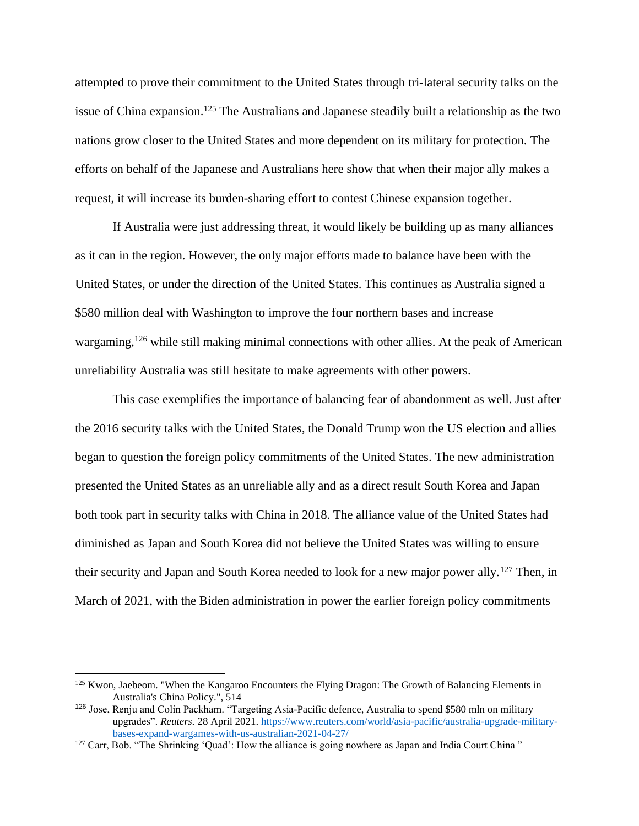attempted to prove their commitment to the United States through tri-lateral security talks on the issue of China expansion.<sup>125</sup> The Australians and Japanese steadily built a relationship as the two nations grow closer to the United States and more dependent on its military for protection. The efforts on behalf of the Japanese and Australians here show that when their major ally makes a request, it will increase its burden-sharing effort to contest Chinese expansion together.

If Australia were just addressing threat, it would likely be building up as many alliances as it can in the region. However, the only major efforts made to balance have been with the United States, or under the direction of the United States. This continues as Australia signed a \$580 million deal with Washington to improve the four northern bases and increase wargaming,<sup>126</sup> while still making minimal connections with other allies. At the peak of American unreliability Australia was still hesitate to make agreements with other powers.

This case exemplifies the importance of balancing fear of abandonment as well. Just after the 2016 security talks with the United States, the Donald Trump won the US election and allies began to question the foreign policy commitments of the United States. The new administration presented the United States as an unreliable ally and as a direct result South Korea and Japan both took part in security talks with China in 2018. The alliance value of the United States had diminished as Japan and South Korea did not believe the United States was willing to ensure their security and Japan and South Korea needed to look for a new major power ally.<sup>127</sup> Then, in March of 2021, with the Biden administration in power the earlier foreign policy commitments

<sup>&</sup>lt;sup>125</sup> Kwon, Jaebeom. "When the Kangaroo Encounters the Flying Dragon: The Growth of Balancing Elements in Australia's China Policy.", 514

<sup>126</sup> Jose, Renju and Colin Packham. "Targeting Asia-Pacific defence, Australia to spend \$580 mln on military upgrades". *Reuters.* 28 April 2021. [https://www.reuters.com/world/asia-pacific/australia-upgrade-military](https://www.reuters.com/world/asia-pacific/australia-upgrade-military-bases-expand-wargames-with-us-australian-2021-04-27/)[bases-expand-wargames-with-us-australian-2021-04-27/](https://www.reuters.com/world/asia-pacific/australia-upgrade-military-bases-expand-wargames-with-us-australian-2021-04-27/)

<sup>&</sup>lt;sup>127</sup> Carr, Bob. "The Shrinking 'Quad': How the alliance is going nowhere as Japan and India Court China "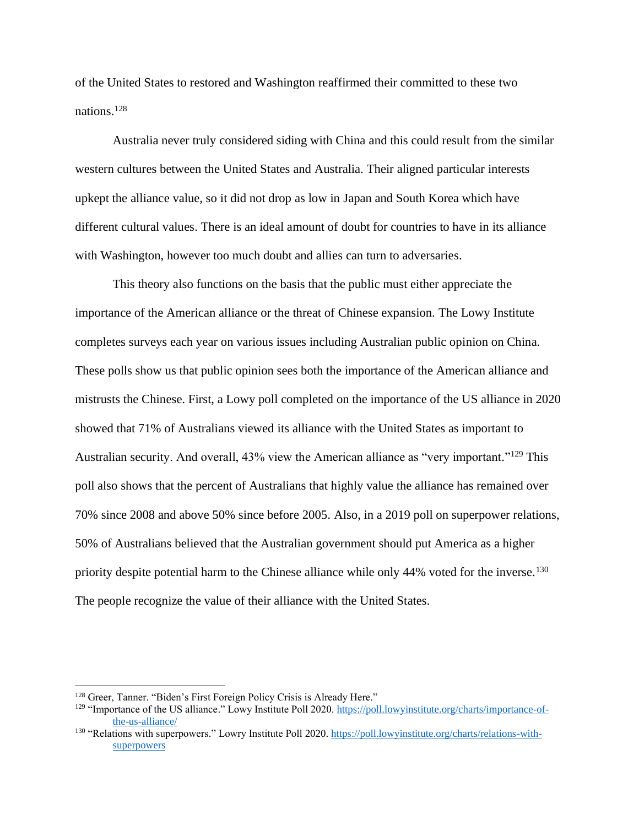of the United States to restored and Washington reaffirmed their committed to these two nations. 128

Australia never truly considered siding with China and this could result from the similar western cultures between the United States and Australia. Their aligned particular interests upkept the alliance value, so it did not drop as low in Japan and South Korea which have different cultural values. There is an ideal amount of doubt for countries to have in its alliance with Washington, however too much doubt and allies can turn to adversaries.

This theory also functions on the basis that the public must either appreciate the importance of the American alliance or the threat of Chinese expansion. The Lowy Institute completes surveys each year on various issues including Australian public opinion on China. These polls show us that public opinion sees both the importance of the American alliance and mistrusts the Chinese. First, a Lowy poll completed on the importance of the US alliance in 2020 showed that 71% of Australians viewed its alliance with the United States as important to Australian security. And overall, 43% view the American alliance as "very important."<sup>129</sup> This poll also shows that the percent of Australians that highly value the alliance has remained over 70% since 2008 and above 50% since before 2005. Also, in a 2019 poll on superpower relations, 50% of Australians believed that the Australian government should put America as a higher priority despite potential harm to the Chinese alliance while only 44% voted for the inverse.<sup>130</sup> The people recognize the value of their alliance with the United States.

<sup>128</sup> Greer, Tanner. "Biden's First Foreign Policy Crisis is Already Here."

<sup>&</sup>lt;sup>129</sup> "Importance of the US alliance." Lowy Institute Poll 2020. [https://poll.lowyinstitute.org/charts/importance-of](about:blank)[the-us-alliance/](about:blank)

<sup>&</sup>lt;sup>130</sup> "Relations with superpowers." Lowry Institute Poll 2020. [https://poll.lowyinstitute.org/charts/relations-with](about:blank)[superpowers](about:blank)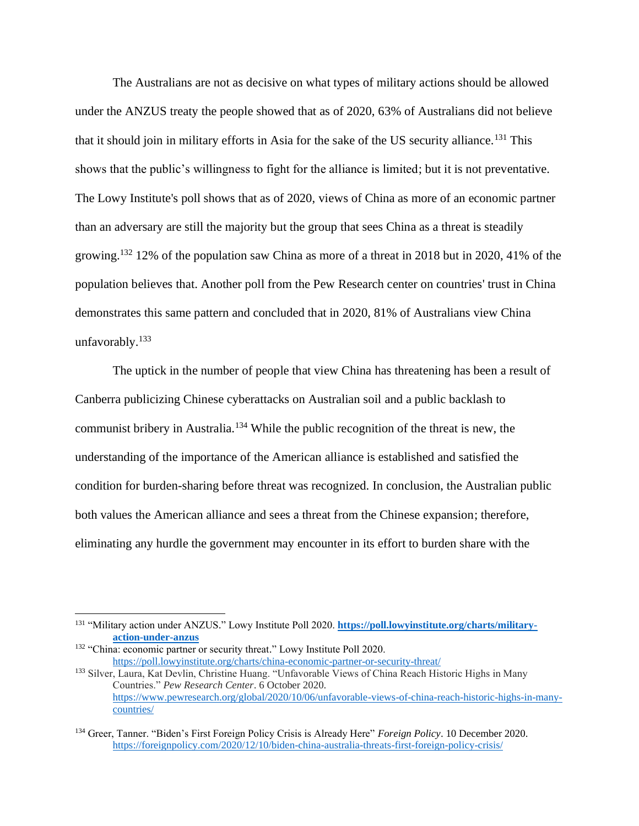The Australians are not as decisive on what types of military actions should be allowed under the ANZUS treaty the people showed that as of 2020, 63% of Australians did not believe that it should join in military efforts in Asia for the sake of the US security alliance.<sup>131</sup> This shows that the public's willingness to fight for the alliance is limited; but it is not preventative. The Lowy Institute's poll shows that as of 2020, views of China as more of an economic partner than an adversary are still the majority but the group that sees China as a threat is steadily growing.<sup>132</sup> 12% of the population saw China as more of a threat in 2018 but in 2020, 41% of the population believes that. Another poll from the Pew Research center on countries' trust in China demonstrates this same pattern and concluded that in 2020, 81% of Australians view China unfavorably.<sup>133</sup>

The uptick in the number of people that view China has threatening has been a result of Canberra publicizing Chinese cyberattacks on Australian soil and a public backlash to communist bribery in Australia.<sup>134</sup> While the public recognition of the threat is new, the understanding of the importance of the American alliance is established and satisfied the condition for burden-sharing before threat was recognized. In conclusion, the Australian public both values the American alliance and sees a threat from the Chinese expansion; therefore, eliminating any hurdle the government may encounter in its effort to burden share with the

<sup>131</sup> "Military action under ANZUS." Lowy Institute Poll 2020. **[https://poll.lowyinstitute.org/charts/military](about:blank)[action-under-anzus](about:blank)**

<sup>&</sup>lt;sup>132</sup> "China: economic partner or security threat." Lowy Institute Poll 2020. [https://poll.lowyinstitute.org/charts/china-economic-partner-or-security-threat/](about:blank)

<sup>133</sup> Silver, Laura, Kat Devlin, Christine Huang. "Unfavorable Views of China Reach Historic Highs in Many Countries." *Pew Research Center*. 6 October 2020. [https://www.pewresearch.org/global/2020/10/06/unfavorable-views-of-china-reach-historic-highs-in-many](https://www.pewresearch.org/global/2020/10/06/unfavorable-views-of-china-reach-historic-highs-in-many-countries/)[countries/](https://www.pewresearch.org/global/2020/10/06/unfavorable-views-of-china-reach-historic-highs-in-many-countries/)

<sup>134</sup> Greer, Tanner. "Biden's First Foreign Policy Crisis is Already Here" *Foreign Policy*. 10 December 2020. <https://foreignpolicy.com/2020/12/10/biden-china-australia-threats-first-foreign-policy-crisis/>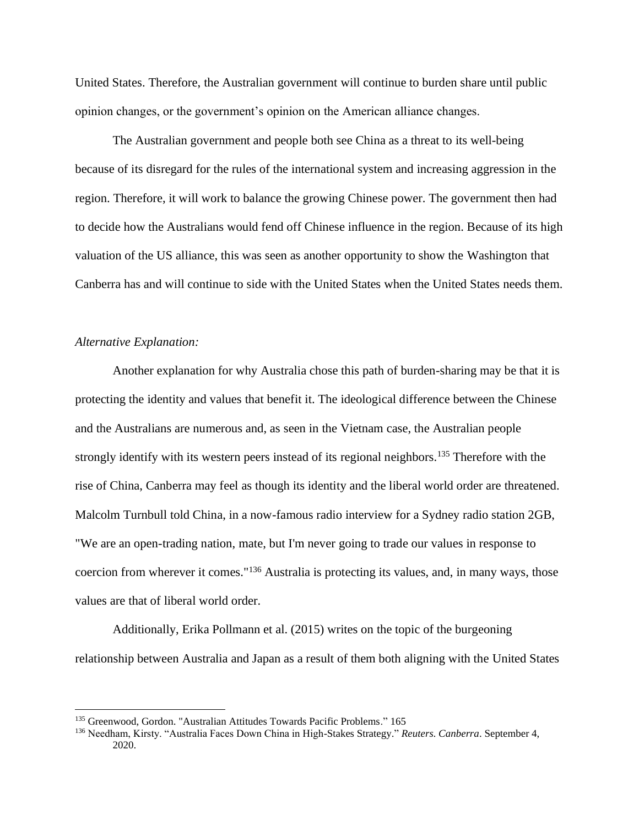United States. Therefore, the Australian government will continue to burden share until public opinion changes, or the government's opinion on the American alliance changes.

The Australian government and people both see China as a threat to its well-being because of its disregard for the rules of the international system and increasing aggression in the region. Therefore, it will work to balance the growing Chinese power. The government then had to decide how the Australians would fend off Chinese influence in the region. Because of its high valuation of the US alliance, this was seen as another opportunity to show the Washington that Canberra has and will continue to side with the United States when the United States needs them.

# *Alternative Explanation:*

Another explanation for why Australia chose this path of burden-sharing may be that it is protecting the identity and values that benefit it. The ideological difference between the Chinese and the Australians are numerous and, as seen in the Vietnam case, the Australian people strongly identify with its western peers instead of its regional neighbors.<sup>135</sup> Therefore with the rise of China, Canberra may feel as though its identity and the liberal world order are threatened. Malcolm Turnbull told China, in a now-famous radio interview for a Sydney radio station 2GB, "We are an open-trading nation, mate, but I'm never going to trade our values in response to coercion from wherever it comes."<sup>136</sup> Australia is protecting its values, and, in many ways, those values are that of liberal world order.

Additionally, Erika Pollmann et al. (2015) writes on the topic of the burgeoning relationship between Australia and Japan as a result of them both aligning with the United States

<sup>&</sup>lt;sup>135</sup> Greenwood, Gordon. "Australian Attitudes Towards Pacific Problems." 165

<sup>136</sup> Needham, Kirsty. "Australia Faces Down China in High-Stakes Strategy." *Reuters. Canberra*. September 4, 2020.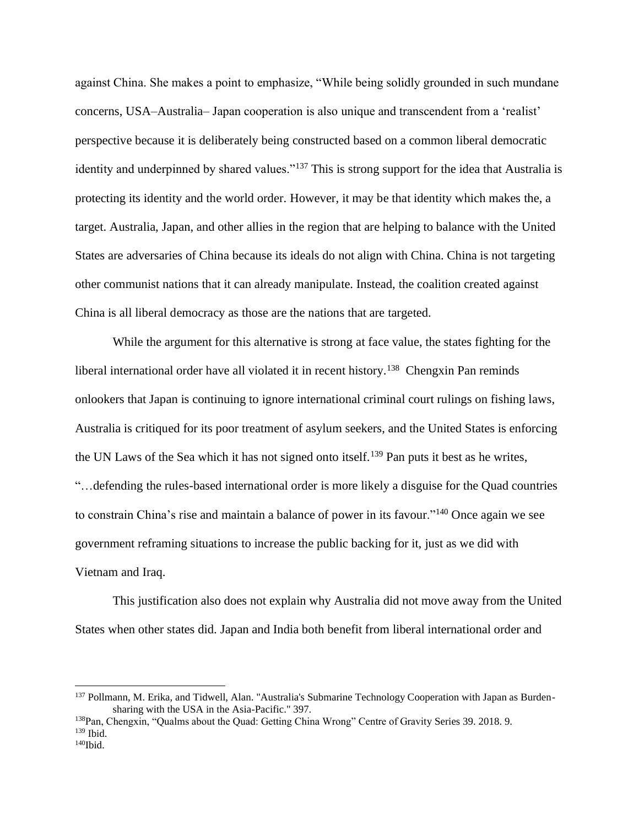against China. She makes a point to emphasize, "While being solidly grounded in such mundane concerns, USA–Australia– Japan cooperation is also unique and transcendent from a 'realist' perspective because it is deliberately being constructed based on a common liberal democratic identity and underpinned by shared values."<sup>137</sup> This is strong support for the idea that Australia is protecting its identity and the world order. However, it may be that identity which makes the, a target. Australia, Japan, and other allies in the region that are helping to balance with the United States are adversaries of China because its ideals do not align with China. China is not targeting other communist nations that it can already manipulate. Instead, the coalition created against China is all liberal democracy as those are the nations that are targeted.

While the argument for this alternative is strong at face value, the states fighting for the liberal international order have all violated it in recent history.<sup>138</sup> Chengxin Pan reminds onlookers that Japan is continuing to ignore international criminal court rulings on fishing laws, Australia is critiqued for its poor treatment of asylum seekers, and the United States is enforcing the UN Laws of the Sea which it has not signed onto itself.<sup>139</sup> Pan puts it best as he writes, "…defending the rules-based international order is more likely a disguise for the Quad countries to constrain China's rise and maintain a balance of power in its favour."<sup>140</sup> Once again we see government reframing situations to increase the public backing for it, just as we did with Vietnam and Iraq.

This justification also does not explain why Australia did not move away from the United States when other states did. Japan and India both benefit from liberal international order and

<sup>137</sup> Pollmann, M. Erika, and Tidwell, Alan. "Australia's Submarine Technology Cooperation with Japan as Burdensharing with the USA in the Asia-Pacific." 397.

<sup>138</sup>Pan, Chengxin, "Qualms about the Quad: Getting China Wrong" Centre of Gravity Series 39. 2018. 9. <sup>139</sup> Ibid.

 $140$ Ibid.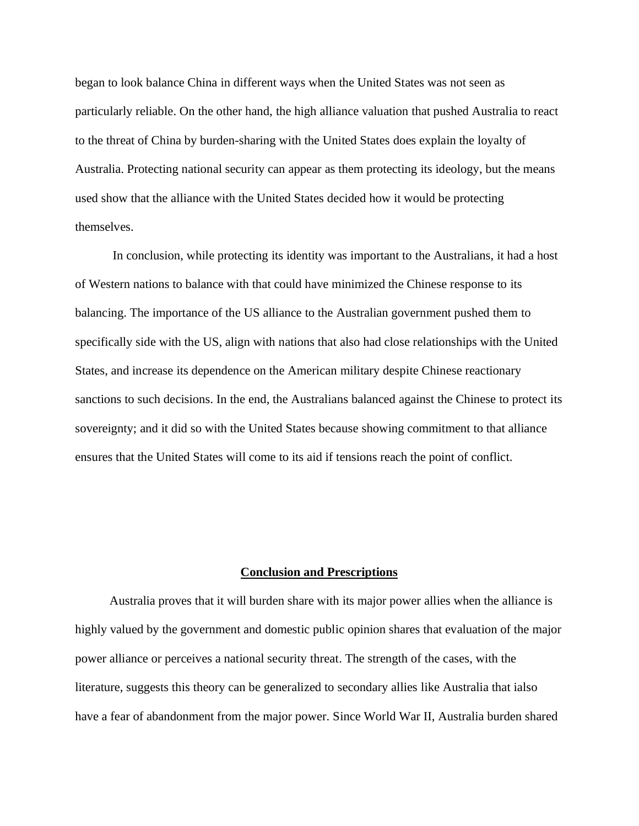began to look balance China in different ways when the United States was not seen as particularly reliable. On the other hand, the high alliance valuation that pushed Australia to react to the threat of China by burden-sharing with the United States does explain the loyalty of Australia. Protecting national security can appear as them protecting its ideology, but the means used show that the alliance with the United States decided how it would be protecting themselves.

In conclusion, while protecting its identity was important to the Australians, it had a host of Western nations to balance with that could have minimized the Chinese response to its balancing. The importance of the US alliance to the Australian government pushed them to specifically side with the US, align with nations that also had close relationships with the United States, and increase its dependence on the American military despite Chinese reactionary sanctions to such decisions. In the end, the Australians balanced against the Chinese to protect its sovereignty; and it did so with the United States because showing commitment to that alliance ensures that the United States will come to its aid if tensions reach the point of conflict.

#### **Conclusion and Prescriptions**

 Australia proves that it will burden share with its major power allies when the alliance is highly valued by the government and domestic public opinion shares that evaluation of the major power alliance or perceives a national security threat. The strength of the cases, with the literature, suggests this theory can be generalized to secondary allies like Australia that ialso have a fear of abandonment from the major power. Since World War II, Australia burden shared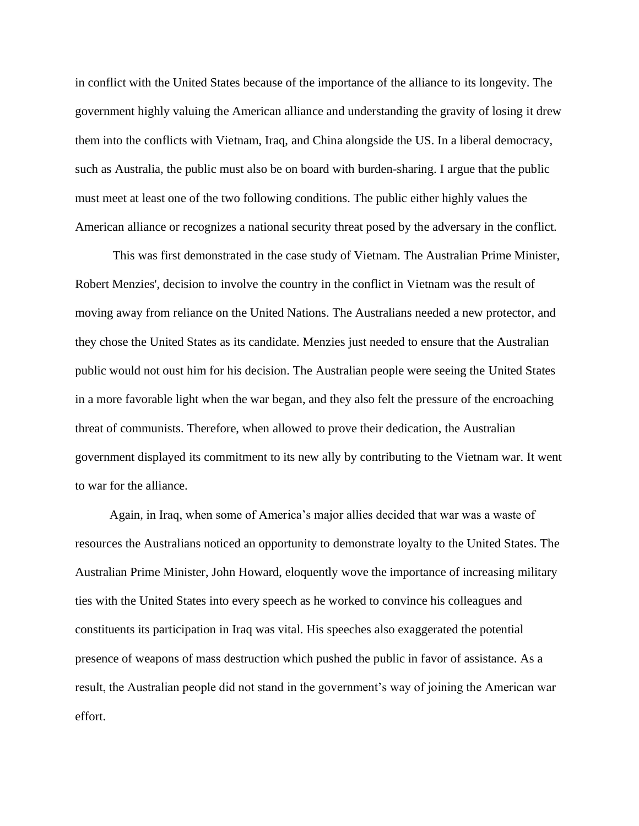in conflict with the United States because of the importance of the alliance to its longevity. The government highly valuing the American alliance and understanding the gravity of losing it drew them into the conflicts with Vietnam, Iraq, and China alongside the US. In a liberal democracy, such as Australia, the public must also be on board with burden-sharing. I argue that the public must meet at least one of the two following conditions. The public either highly values the American alliance or recognizes a national security threat posed by the adversary in the conflict.

This was first demonstrated in the case study of Vietnam. The Australian Prime Minister, Robert Menzies', decision to involve the country in the conflict in Vietnam was the result of moving away from reliance on the United Nations. The Australians needed a new protector, and they chose the United States as its candidate. Menzies just needed to ensure that the Australian public would not oust him for his decision. The Australian people were seeing the United States in a more favorable light when the war began, and they also felt the pressure of the encroaching threat of communists. Therefore, when allowed to prove their dedication, the Australian government displayed its commitment to its new ally by contributing to the Vietnam war. It went to war for the alliance.

 Again, in Iraq, when some of America's major allies decided that war was a waste of resources the Australians noticed an opportunity to demonstrate loyalty to the United States. The Australian Prime Minister, John Howard, eloquently wove the importance of increasing military ties with the United States into every speech as he worked to convince his colleagues and constituents its participation in Iraq was vital. His speeches also exaggerated the potential presence of weapons of mass destruction which pushed the public in favor of assistance. As a result, the Australian people did not stand in the government's way of joining the American war effort.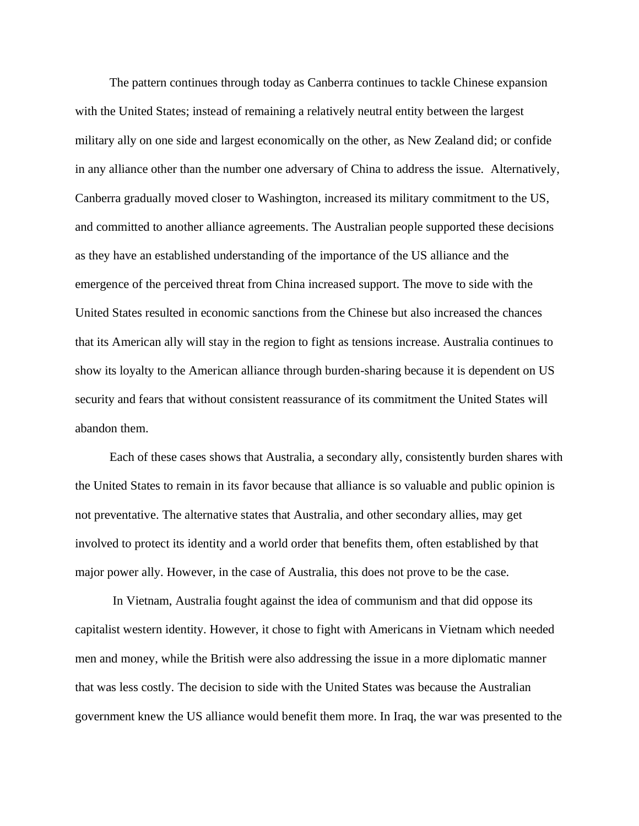The pattern continues through today as Canberra continues to tackle Chinese expansion with the United States; instead of remaining a relatively neutral entity between the largest military ally on one side and largest economically on the other, as New Zealand did; or confide in any alliance other than the number one adversary of China to address the issue. Alternatively, Canberra gradually moved closer to Washington, increased its military commitment to the US, and committed to another alliance agreements. The Australian people supported these decisions as they have an established understanding of the importance of the US alliance and the emergence of the perceived threat from China increased support. The move to side with the United States resulted in economic sanctions from the Chinese but also increased the chances that its American ally will stay in the region to fight as tensions increase. Australia continues to show its loyalty to the American alliance through burden-sharing because it is dependent on US security and fears that without consistent reassurance of its commitment the United States will abandon them.

 Each of these cases shows that Australia, a secondary ally, consistently burden shares with the United States to remain in its favor because that alliance is so valuable and public opinion is not preventative. The alternative states that Australia, and other secondary allies, may get involved to protect its identity and a world order that benefits them, often established by that major power ally. However, in the case of Australia, this does not prove to be the case.

In Vietnam, Australia fought against the idea of communism and that did oppose its capitalist western identity. However, it chose to fight with Americans in Vietnam which needed men and money, while the British were also addressing the issue in a more diplomatic manner that was less costly. The decision to side with the United States was because the Australian government knew the US alliance would benefit them more. In Iraq, the war was presented to the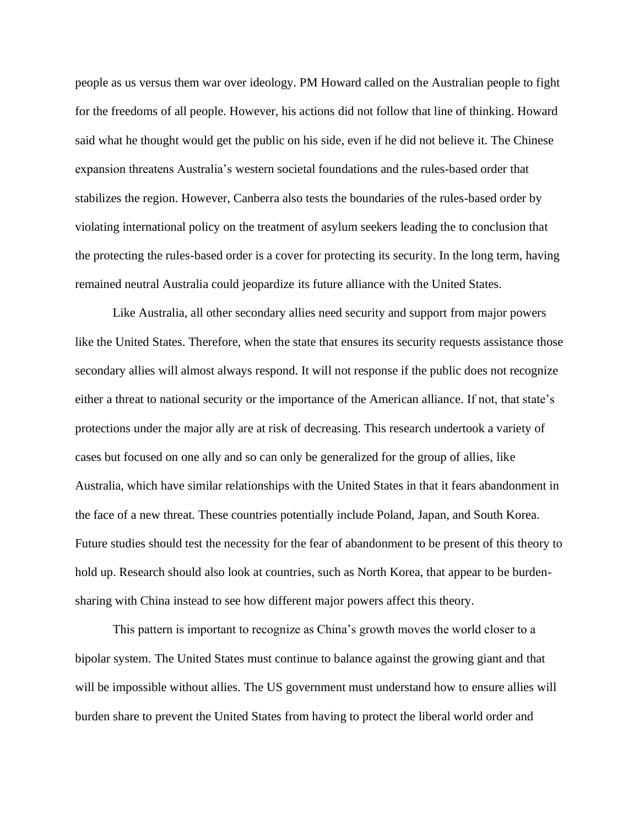people as us versus them war over ideology. PM Howard called on the Australian people to fight for the freedoms of all people. However, his actions did not follow that line of thinking. Howard said what he thought would get the public on his side, even if he did not believe it. The Chinese expansion threatens Australia's western societal foundations and the rules-based order that stabilizes the region. However, Canberra also tests the boundaries of the rules-based order by violating international policy on the treatment of asylum seekers leading the to conclusion that the protecting the rules-based order is a cover for protecting its security. In the long term, having remained neutral Australia could jeopardize its future alliance with the United States.

Like Australia, all other secondary allies need security and support from major powers like the United States. Therefore, when the state that ensures its security requests assistance those secondary allies will almost always respond. It will not response if the public does not recognize either a threat to national security or the importance of the American alliance. If not, that state's protections under the major ally are at risk of decreasing. This research undertook a variety of cases but focused on one ally and so can only be generalized for the group of allies, like Australia, which have similar relationships with the United States in that it fears abandonment in the face of a new threat. These countries potentially include Poland, Japan, and South Korea. Future studies should test the necessity for the fear of abandonment to be present of this theory to hold up. Research should also look at countries, such as North Korea, that appear to be burdensharing with China instead to see how different major powers affect this theory.

This pattern is important to recognize as China's growth moves the world closer to a bipolar system. The United States must continue to balance against the growing giant and that will be impossible without allies. The US government must understand how to ensure allies will burden share to prevent the United States from having to protect the liberal world order and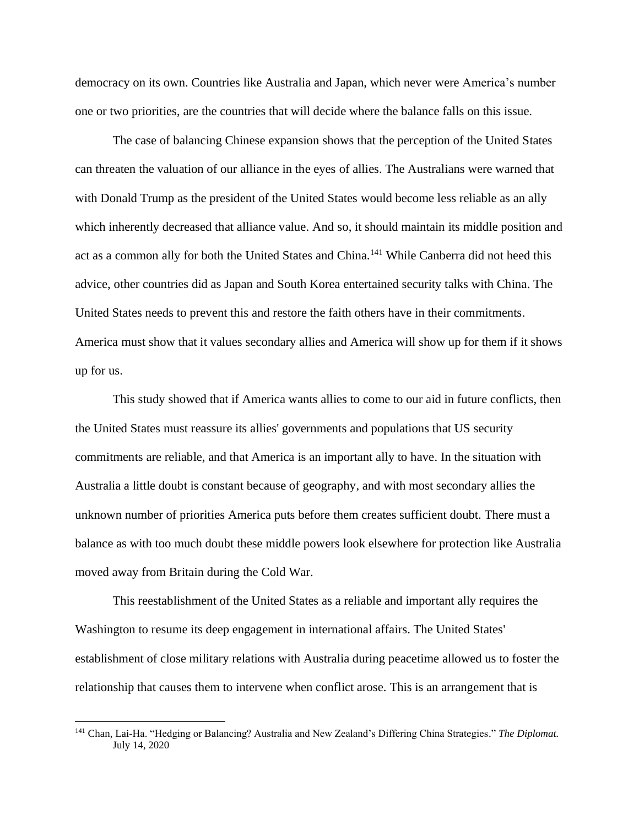democracy on its own. Countries like Australia and Japan, which never were America's number one or two priorities, are the countries that will decide where the balance falls on this issue.

The case of balancing Chinese expansion shows that the perception of the United States can threaten the valuation of our alliance in the eyes of allies. The Australians were warned that with Donald Trump as the president of the United States would become less reliable as an ally which inherently decreased that alliance value. And so, it should maintain its middle position and act as a common ally for both the United States and China.<sup>141</sup> While Canberra did not heed this advice, other countries did as Japan and South Korea entertained security talks with China. The United States needs to prevent this and restore the faith others have in their commitments. America must show that it values secondary allies and America will show up for them if it shows up for us.

This study showed that if America wants allies to come to our aid in future conflicts, then the United States must reassure its allies' governments and populations that US security commitments are reliable, and that America is an important ally to have. In the situation with Australia a little doubt is constant because of geography, and with most secondary allies the unknown number of priorities America puts before them creates sufficient doubt. There must a balance as with too much doubt these middle powers look elsewhere for protection like Australia moved away from Britain during the Cold War.

This reestablishment of the United States as a reliable and important ally requires the Washington to resume its deep engagement in international affairs. The United States' establishment of close military relations with Australia during peacetime allowed us to foster the relationship that causes them to intervene when conflict arose. This is an arrangement that is

<sup>141</sup> Chan, Lai-Ha. "Hedging or Balancing? Australia and New Zealand's Differing China Strategies." *The Diplomat.*  July 14, 2020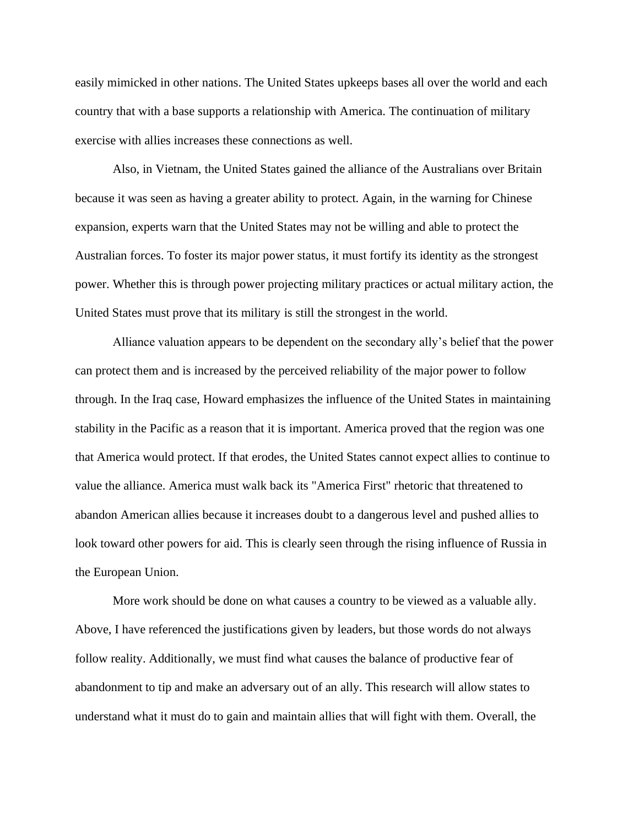easily mimicked in other nations. The United States upkeeps bases all over the world and each country that with a base supports a relationship with America. The continuation of military exercise with allies increases these connections as well.

Also, in Vietnam, the United States gained the alliance of the Australians over Britain because it was seen as having a greater ability to protect. Again, in the warning for Chinese expansion, experts warn that the United States may not be willing and able to protect the Australian forces. To foster its major power status, it must fortify its identity as the strongest power. Whether this is through power projecting military practices or actual military action, the United States must prove that its military is still the strongest in the world.

Alliance valuation appears to be dependent on the secondary ally's belief that the power can protect them and is increased by the perceived reliability of the major power to follow through. In the Iraq case, Howard emphasizes the influence of the United States in maintaining stability in the Pacific as a reason that it is important. America proved that the region was one that America would protect. If that erodes, the United States cannot expect allies to continue to value the alliance. America must walk back its "America First" rhetoric that threatened to abandon American allies because it increases doubt to a dangerous level and pushed allies to look toward other powers for aid. This is clearly seen through the rising influence of Russia in the European Union.

More work should be done on what causes a country to be viewed as a valuable ally. Above, I have referenced the justifications given by leaders, but those words do not always follow reality. Additionally, we must find what causes the balance of productive fear of abandonment to tip and make an adversary out of an ally. This research will allow states to understand what it must do to gain and maintain allies that will fight with them. Overall, the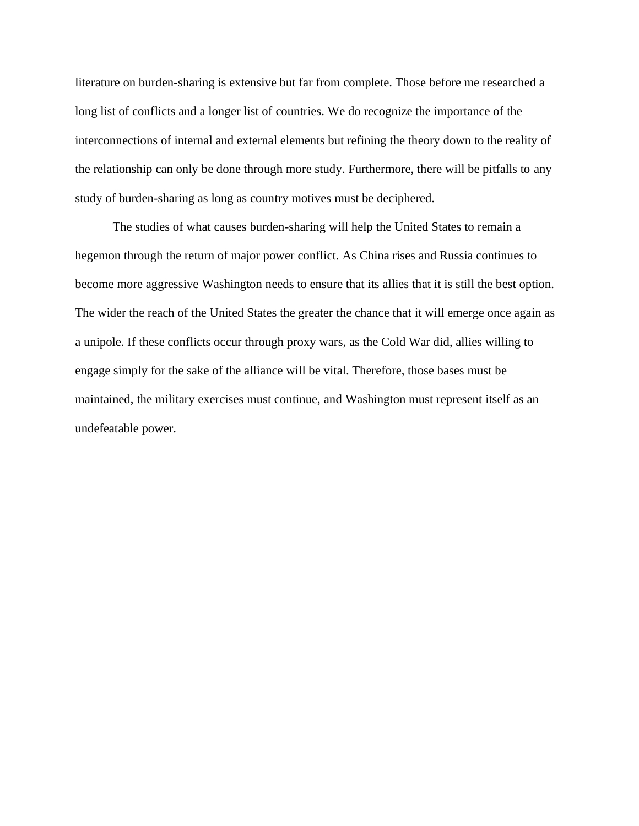literature on burden-sharing is extensive but far from complete. Those before me researched a long list of conflicts and a longer list of countries. We do recognize the importance of the interconnections of internal and external elements but refining the theory down to the reality of the relationship can only be done through more study. Furthermore, there will be pitfalls to any study of burden-sharing as long as country motives must be deciphered.

The studies of what causes burden-sharing will help the United States to remain a hegemon through the return of major power conflict. As China rises and Russia continues to become more aggressive Washington needs to ensure that its allies that it is still the best option. The wider the reach of the United States the greater the chance that it will emerge once again as a unipole. If these conflicts occur through proxy wars, as the Cold War did, allies willing to engage simply for the sake of the alliance will be vital. Therefore, those bases must be maintained, the military exercises must continue, and Washington must represent itself as an undefeatable power.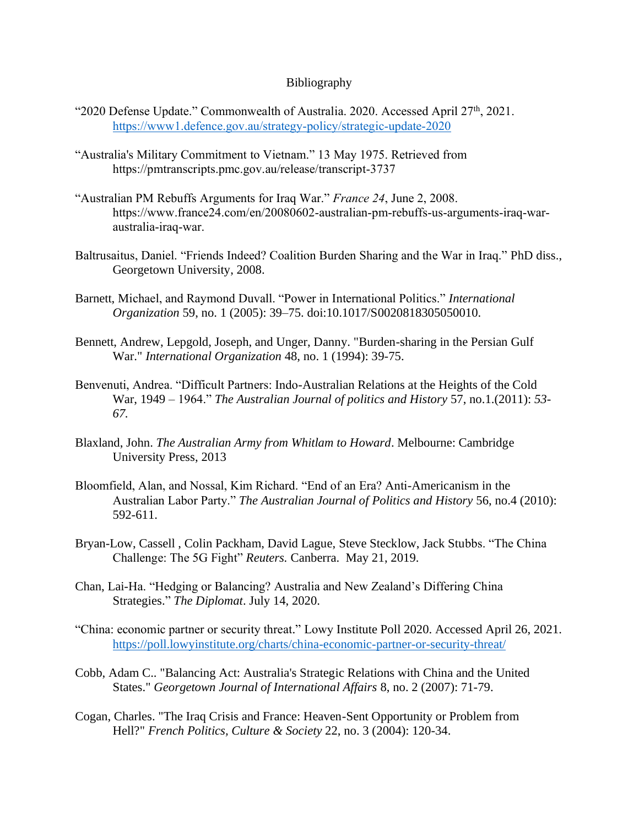# Bibliography

- "2020 Defense Update." Commonwealth of Australia. 2020. Accessed April 27<sup>th</sup>, 2021. <https://www1.defence.gov.au/strategy-policy/strategic-update-2020>
- "Australia's Military Commitment to Vietnam." 13 May 1975. Retrieved from <https://pmtranscripts.pmc.gov.au/release/transcript-3737>
- "Australian PM Rebuffs Arguments for Iraq War." *France 24*, June 2, 2008. https://www.france24.com/en/20080602-australian-pm-rebuffs-us-arguments-iraq-waraustralia-iraq-war.
- Baltrusaitus, Daniel. "Friends Indeed? Coalition Burden Sharing and the War in Iraq." PhD diss., Georgetown University, 2008.
- Barnett, Michael, and Raymond Duvall. "Power in International Politics." *International Organization* 59, no. 1 (2005): 39–75. doi:10.1017/S0020818305050010.
- Bennett, Andrew, Lepgold, Joseph, and Unger, Danny. "Burden-sharing in the Persian Gulf War." *International Organization* 48, no. 1 (1994): 39-75.
- Benvenuti, Andrea. "Difficult Partners: Indo-Australian Relations at the Heights of the Cold War, 1949 – 1964." *The Australian Journal of politics and History* 57, no.1.(2011): *53- 67.*
- Blaxland, John. *The Australian Army from Whitlam to Howard*. Melbourne: Cambridge University Press, 2013
- Bloomfield, Alan, and Nossal, Kim Richard. "End of an Era? Anti-Americanism in the Australian Labor Party." *The Australian Journal of Politics and History* 56, no.4 (2010): 592-611.
- Bryan-Low, Cassell , Colin Packham, David Lague, Steve Stecklow, Jack Stubbs. "The China Challenge: The 5G Fight" *Reuters.* Canberra. May 21, 2019.
- Chan, Lai-Ha. "Hedging or Balancing? Australia and New Zealand's Differing China Strategies." *The Diplomat*. July 14, 2020.
- "China: economic partner or security threat." Lowy Institute Poll 2020. Accessed April 26, 2021. <https://poll.lowyinstitute.org/charts/china-economic-partner-or-security-threat/>
- Cobb, Adam C.. "Balancing Act: Australia's Strategic Relations with China and the United States." *Georgetown Journal of International Affairs* 8, no. 2 (2007): 71-79.
- Cogan, Charles. "The Iraq Crisis and France: Heaven-Sent Opportunity or Problem from Hell?" *French Politics, Culture & Society* 22, no. 3 (2004): 120-34.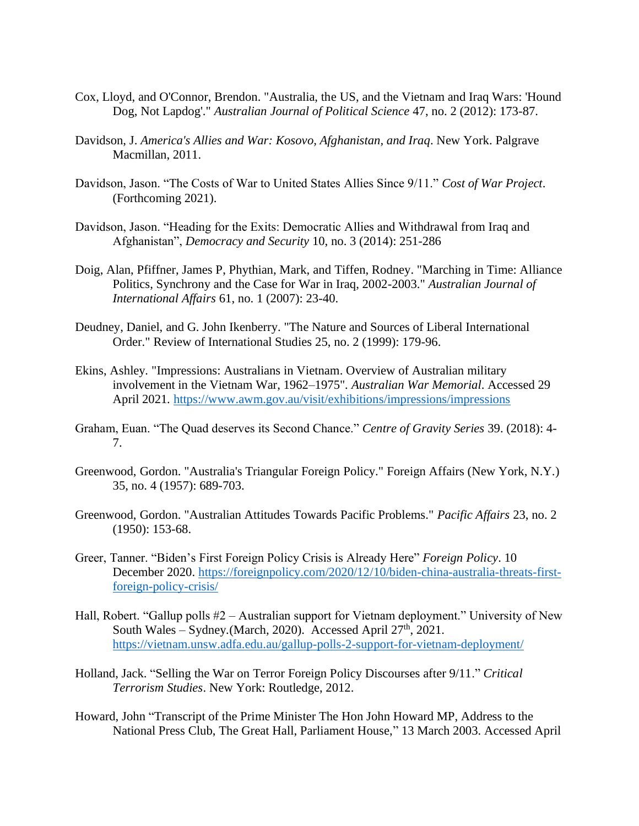- Cox, Lloyd, and O'Connor, Brendon. "Australia, the US, and the Vietnam and Iraq Wars: 'Hound Dog, Not Lapdog'." *Australian Journal of Political Science* 47, no. 2 (2012): 173-87.
- Davidson, J. *America's Allies and War: Kosovo, Afghanistan, and Iraq*. New York. Palgrave Macmillan, 2011.
- Davidson, Jason. "The Costs of War to United States Allies Since 9/11." *Cost of War Project*. (Forthcoming 2021).
- Davidson, Jason. "Heading for the Exits: Democratic Allies and Withdrawal from Iraq and Afghanistan", *Democracy and Security* 10, no. 3 (2014): 251-286
- Doig, Alan, Pfiffner, James P, Phythian, Mark, and Tiffen, Rodney. "Marching in Time: Alliance Politics, Synchrony and the Case for War in Iraq, 2002-2003." *Australian Journal of International Affairs* 61, no. 1 (2007): 23-40.
- Deudney, Daniel, and G. John Ikenberry. "The Nature and Sources of Liberal International Order." Review of International Studies 25, no. 2 (1999): 179-96.
- Ekins, Ashley*.* ["Impressions: Australians in Vietnam. Overview of Australian military](https://www.awm.gov.au/exhibitions/impressions/impressions.asp)  [involvement in the Vietnam War, 1962–1975"](https://www.awm.gov.au/exhibitions/impressions/impressions.asp)*. Australian War Memorial*. Accessed 29 April 2021*.* <https://www.awm.gov.au/visit/exhibitions/impressions/impressions>
- Graham, Euan. "The Quad deserves its Second Chance." *Centre of Gravity Series* 39. (2018): 4- 7.
- Greenwood, Gordon. "Australia's Triangular Foreign Policy." Foreign Affairs (New York, N.Y.) 35, no. 4 (1957): 689-703.
- Greenwood, Gordon. "Australian Attitudes Towards Pacific Problems." *Pacific Affairs* 23, no. 2 (1950): 153-68.
- Greer, Tanner. "Biden's First Foreign Policy Crisis is Already Here" *Foreign Policy*. 10 December 2020. [https://foreignpolicy.com/2020/12/10/biden-china-australia-threats-first](https://foreignpolicy.com/2020/12/10/biden-china-australia-threats-first-foreign-policy-crisis/)[foreign-policy-crisis/](https://foreignpolicy.com/2020/12/10/biden-china-australia-threats-first-foreign-policy-crisis/)
- Hall, Robert. "Gallup polls #2 Australian support for Vietnam deployment." University of New South Wales – Sydney. (March, 2020). Accessed April 27<sup>th</sup>, 2021. <https://vietnam.unsw.adfa.edu.au/gallup-polls-2-support-for-vietnam-deployment/>
- Holland, Jack. "Selling the War on Terror Foreign Policy Discourses after 9/11." *Critical Terrorism Studies*. New York: Routledge, 2012.
- Howard, John "Transcript of the Prime Minister The Hon John Howard MP, Address to the National Press Club, The Great Hall, Parliament House," 13 March 2003. Accessed April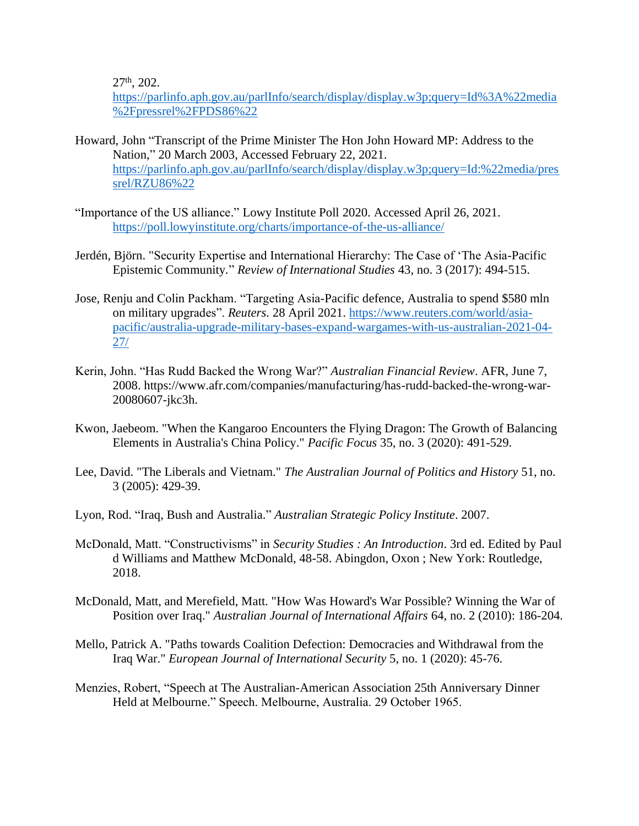$27<sup>th</sup>$ , 202.

[https://parlinfo.aph.gov.au/parlInfo/search/display/display.w3p;query=Id%3A%22media](https://parlinfo.aph.gov.au/parlInfo/search/display/display.w3p;query=Id%3A%22media%2Fpressrel%2FPDS86%22) [%2Fpressrel%2FPDS86%22](https://parlinfo.aph.gov.au/parlInfo/search/display/display.w3p;query=Id%3A%22media%2Fpressrel%2FPDS86%22)

- Howard, John "Transcript of the Prime Minister The Hon John Howard MP: Address to the Nation," 20 March 2003, Accessed February 22, 2021. [https://parlinfo.aph.gov.au/parlInfo/search/display/display.w3p;query=Id:%22media/pres](https://parlinfo.aph.gov.au/parlInfo/search/display/display.w3p;query=Id:%22media/pressrel/RZU86%22) [srel/RZU86%22](https://parlinfo.aph.gov.au/parlInfo/search/display/display.w3p;query=Id:%22media/pressrel/RZU86%22)
- "Importance of the US alliance." Lowy Institute Poll 2020. Accessed April 26, 2021. <https://poll.lowyinstitute.org/charts/importance-of-the-us-alliance/>
- Jerdén, Björn. "Security Expertise and International Hierarchy: The Case of 'The Asia-Pacific Epistemic Community*.*" *Review of International Studies* 43, no. 3 (2017): 494-515.
- Jose, Renju and Colin Packham. "Targeting Asia-Pacific defence, Australia to spend \$580 mln on military upgrades". *Reuters.* 28 April 2021. [https://www.reuters.com/world/asia](https://www.reuters.com/world/asia-pacific/australia-upgrade-military-bases-expand-wargames-with-us-australian-2021-04-27/)[pacific/australia-upgrade-military-bases-expand-wargames-with-us-australian-2021-04-](https://www.reuters.com/world/asia-pacific/australia-upgrade-military-bases-expand-wargames-with-us-australian-2021-04-27/) [27/](https://www.reuters.com/world/asia-pacific/australia-upgrade-military-bases-expand-wargames-with-us-australian-2021-04-27/)
- Kerin, John. "Has Rudd Backed the Wrong War?" *Australian Financial Review*. AFR, June 7, 2008. https://www.afr.com/companies/manufacturing/has-rudd-backed-the-wrong-war-20080607-jkc3h.
- Kwon, Jaebeom. "When the Kangaroo Encounters the Flying Dragon: The Growth of Balancing Elements in Australia's China Policy." *Pacific Focus* 35, no. 3 (2020): 491-529.
- Lee, David. "The Liberals and Vietnam." *The Australian Journal of Politics and History* 51, no. 3 (2005): 429-39.
- Lyon, Rod. "Iraq, Bush and Australia." *Australian Strategic Policy Institute*. 2007.
- McDonald, Matt. "Constructivisms" in *Security Studies : An Introduction*. 3rd ed. Edited by Paul d Williams and Matthew McDonald, 48-58. Abingdon, Oxon ; New York: Routledge, 2018.
- McDonald, Matt, and Merefield, Matt. "How Was Howard's War Possible? Winning the War of Position over Iraq." *Australian Journal of International Affairs* 64, no. 2 (2010): 186-204.
- Mello, Patrick A. "Paths towards Coalition Defection: Democracies and Withdrawal from the Iraq War." *European Journal of International Security* 5, no. 1 (2020): 45-76.
- Menzies, Robert, "Speech at The Australian-American Association 25th Anniversary Dinner Held at Melbourne." Speech. Melbourne, Australia. 29 October 1965.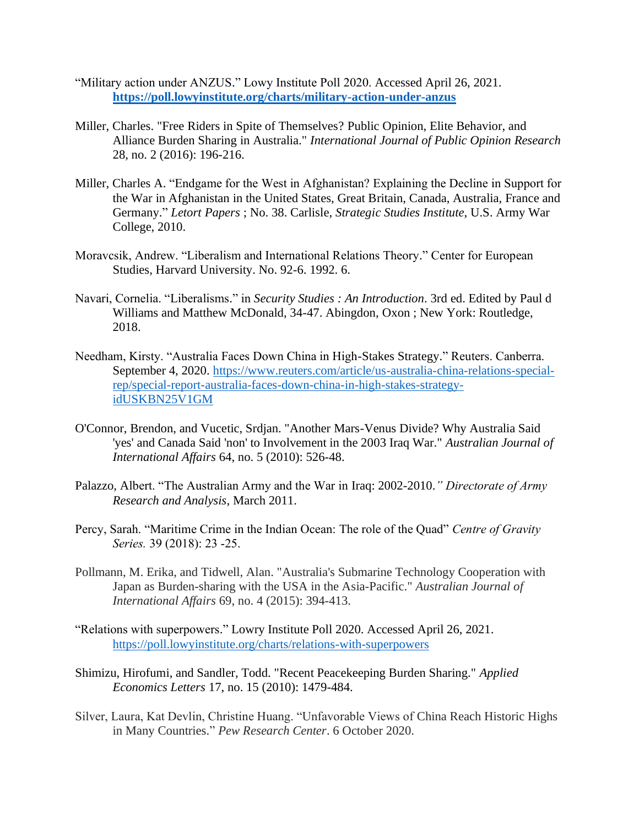- "Military action under ANZUS." Lowy Institute Poll 2020. Accessed April 26, 2021. **<https://poll.lowyinstitute.org/charts/military-action-under-anzus>**
- Miller, Charles. "Free Riders in Spite of Themselves? Public Opinion, Elite Behavior, and Alliance Burden Sharing in Australia." *International Journal of Public Opinion Research* 28, no. 2 (2016): 196-216.
- Miller, Charles A. "Endgame for the West in Afghanistan? Explaining the Decline in Support for the War in Afghanistan in the United States, Great Britain, Canada, Australia, France and Germany." *Letort Papers* ; No. 38. Carlisle, *Strategic Studies Institute*, U.S. Army War College, 2010.
- Moravcsik, Andrew. "Liberalism and International Relations Theory." Center for European Studies, Harvard University. No. 92-6. 1992. 6.
- Navari, Cornelia. "Liberalisms." in *Security Studies : An Introduction*. 3rd ed. Edited by Paul d Williams and Matthew McDonald, 34-47. Abingdon, Oxon ; New York: Routledge, 2018.
- Needham, Kirsty. "Australia Faces Down China in High-Stakes Strategy." Reuters. Canberra. September 4, 2020. [https://www.reuters.com/article/us-australia-china-relations-special](https://www.reuters.com/article/us-australia-china-relations-special-rep/special-report-australia-faces-down-china-in-high-stakes-strategy-idUSKBN25V1GM)[rep/special-report-australia-faces-down-china-in-high-stakes-strategy](https://www.reuters.com/article/us-australia-china-relations-special-rep/special-report-australia-faces-down-china-in-high-stakes-strategy-idUSKBN25V1GM)[idUSKBN25V1GM](https://www.reuters.com/article/us-australia-china-relations-special-rep/special-report-australia-faces-down-china-in-high-stakes-strategy-idUSKBN25V1GM)
- O'Connor, Brendon, and Vucetic, Srdjan. "Another Mars-Venus Divide? Why Australia Said 'yes' and Canada Said 'non' to Involvement in the 2003 Iraq War." *Australian Journal of International Affairs* 64, no. 5 (2010): 526-48.
- Palazzo, Albert. "The Australian Army and the War in Iraq: 2002-2010.*" Directorate of Army Research and Analysis*, March 2011.
- Percy, Sarah. "Maritime Crime in the Indian Ocean: The role of the Quad" *Centre of Gravity Series.* 39 (2018): 23 -25.
- Pollmann, M. Erika, and Tidwell, Alan. "Australia's Submarine Technology Cooperation with Japan as Burden-sharing with the USA in the Asia-Pacific." *Australian Journal of International Affairs* 69, no. 4 (2015): 394-413.
- "Relations with superpowers." Lowry Institute Poll 2020. Accessed April 26, 2021. <https://poll.lowyinstitute.org/charts/relations-with-superpowers>
- Shimizu, Hirofumi, and Sandler, Todd. "Recent Peacekeeping Burden Sharing." *Applied Economics Letters* 17, no. 15 (2010): 1479-484.
- Silver, Laura, Kat Devlin, Christine Huang. "Unfavorable Views of China Reach Historic Highs in Many Countries." *Pew Research Center*. 6 October 2020.